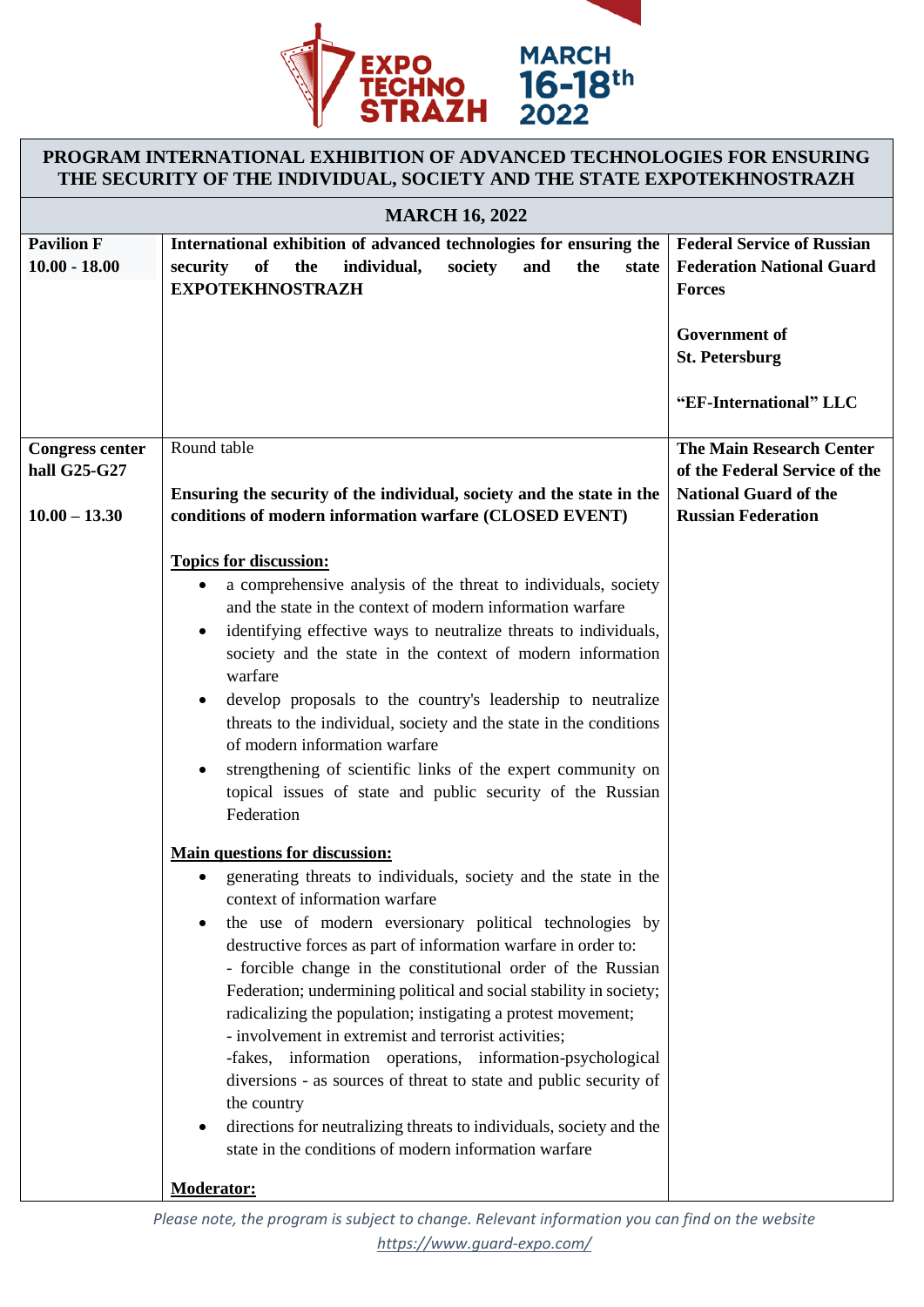

# **PROGRAM INTERNATIONAL EXHIBITION OF ADVANCED TECHNOLOGIES FOR ENSURING THE SECURITY OF THE INDIVIDUAL, SOCIETY AND THE STATE EXPOTEKHNOSTRAZH**

| <b>MARCH 16, 2022</b>                                     |                                                                                                                                                                                                                                                                                                                                                                                                                                                                                                                                                                                                                                                                                                                                                                                                                                                                                                                                                                                                                                                                                                                                                                                                                                                                                                                                                                                                                                                                                                                                              |                                                                                                                                                                   |
|-----------------------------------------------------------|----------------------------------------------------------------------------------------------------------------------------------------------------------------------------------------------------------------------------------------------------------------------------------------------------------------------------------------------------------------------------------------------------------------------------------------------------------------------------------------------------------------------------------------------------------------------------------------------------------------------------------------------------------------------------------------------------------------------------------------------------------------------------------------------------------------------------------------------------------------------------------------------------------------------------------------------------------------------------------------------------------------------------------------------------------------------------------------------------------------------------------------------------------------------------------------------------------------------------------------------------------------------------------------------------------------------------------------------------------------------------------------------------------------------------------------------------------------------------------------------------------------------------------------------|-------------------------------------------------------------------------------------------------------------------------------------------------------------------|
| <b>Pavilion F</b><br>$10.00 - 18.00$                      | International exhibition of advanced technologies for ensuring the<br>of<br>society<br>the<br>security<br>the<br>individual,<br>and<br>state<br><b>EXPOTEKHNOSTRAZH</b>                                                                                                                                                                                                                                                                                                                                                                                                                                                                                                                                                                                                                                                                                                                                                                                                                                                                                                                                                                                                                                                                                                                                                                                                                                                                                                                                                                      | <b>Federal Service of Russian</b><br><b>Federation National Guard</b><br><b>Forces</b><br><b>Government</b> of<br><b>St. Petersburg</b><br>"EF-International" LLC |
| <b>Congress center</b><br>hall G25-G27<br>$10.00 - 13.30$ | Round table<br>Ensuring the security of the individual, society and the state in the<br>conditions of modern information warfare (CLOSED EVENT)                                                                                                                                                                                                                                                                                                                                                                                                                                                                                                                                                                                                                                                                                                                                                                                                                                                                                                                                                                                                                                                                                                                                                                                                                                                                                                                                                                                              | <b>The Main Research Center</b><br>of the Federal Service of the<br><b>National Guard of the</b><br><b>Russian Federation</b>                                     |
|                                                           | <b>Topics for discussion:</b><br>a comprehensive analysis of the threat to individuals, society<br>$\bullet$<br>and the state in the context of modern information warfare<br>identifying effective ways to neutralize threats to individuals,<br>society and the state in the context of modern information<br>warfare<br>develop proposals to the country's leadership to neutralize<br>$\bullet$<br>threats to the individual, society and the state in the conditions<br>of modern information warfare<br>strengthening of scientific links of the expert community on<br>$\bullet$<br>topical issues of state and public security of the Russian<br>Federation<br><b>Main questions for discussion:</b><br>generating threats to individuals, society and the state in the<br>$\bullet$<br>context of information warfare<br>the use of modern eversionary political technologies by<br>destructive forces as part of information warfare in order to:<br>- forcible change in the constitutional order of the Russian<br>Federation; undermining political and social stability in society;<br>radicalizing the population; instigating a protest movement;<br>- involvement in extremist and terrorist activities;<br>-fakes, information operations, information-psychological<br>diversions - as sources of threat to state and public security of<br>the country<br>directions for neutralizing threats to individuals, society and the<br>$\bullet$<br>state in the conditions of modern information warfare<br><b>Moderator:</b> |                                                                                                                                                                   |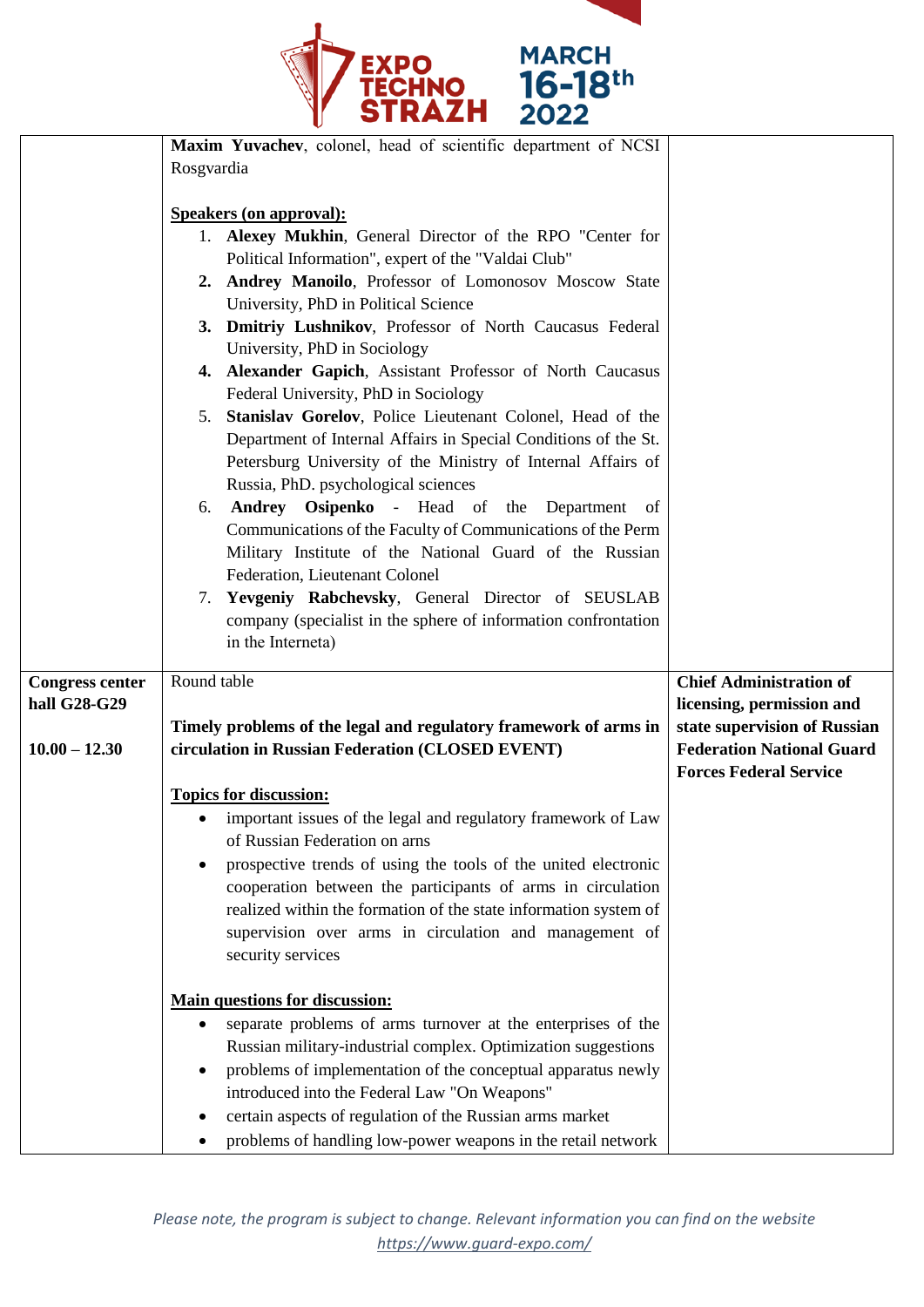

|                        | Maxim Yuvachev, colonel, head of scientific department of NCSI                                                                  |                                  |
|------------------------|---------------------------------------------------------------------------------------------------------------------------------|----------------------------------|
|                        | Rosgvardia                                                                                                                      |                                  |
|                        |                                                                                                                                 |                                  |
|                        | <b>Speakers (on approval):</b>                                                                                                  |                                  |
|                        | 1. Alexey Mukhin, General Director of the RPO "Center for                                                                       |                                  |
|                        | Political Information", expert of the "Valdai Club"                                                                             |                                  |
|                        | 2. Andrey Manoilo, Professor of Lomonosov Moscow State                                                                          |                                  |
|                        | University, PhD in Political Science                                                                                            |                                  |
|                        | 3. Dmitriy Lushnikov, Professor of North Caucasus Federal                                                                       |                                  |
|                        | University, PhD in Sociology                                                                                                    |                                  |
|                        | 4. Alexander Gapich, Assistant Professor of North Caucasus                                                                      |                                  |
|                        | Federal University, PhD in Sociology                                                                                            |                                  |
|                        | 5. Stanislav Gorelov, Police Lieutenant Colonel, Head of the                                                                    |                                  |
|                        | Department of Internal Affairs in Special Conditions of the St.                                                                 |                                  |
|                        | Petersburg University of the Ministry of Internal Affairs of                                                                    |                                  |
|                        | Russia, PhD. psychological sciences                                                                                             |                                  |
|                        | Andrey Osipenko - Head of the Department of<br>6.                                                                               |                                  |
|                        | Communications of the Faculty of Communications of the Perm                                                                     |                                  |
|                        | Military Institute of the National Guard of the Russian                                                                         |                                  |
|                        | Federation, Lieutenant Colonel                                                                                                  |                                  |
|                        | 7. Yevgeniy Rabchevsky, General Director of SEUSLAB                                                                             |                                  |
|                        | company (specialist in the sphere of information confrontation                                                                  |                                  |
|                        | in the Interneta)                                                                                                               |                                  |
|                        |                                                                                                                                 |                                  |
| <b>Congress center</b> | Round table                                                                                                                     | <b>Chief Administration of</b>   |
| hall G28-G29           |                                                                                                                                 | licensing, permission and        |
|                        | Timely problems of the legal and regulatory framework of arms in                                                                | state supervision of Russian     |
| $10.00 - 12.30$        | circulation in Russian Federation (CLOSED EVENT)                                                                                | <b>Federation National Guard</b> |
|                        |                                                                                                                                 | <b>Forces Federal Service</b>    |
|                        | <b>Topics for discussion:</b>                                                                                                   |                                  |
|                        | • important issues of the legal and regulatory framework of Law                                                                 |                                  |
|                        | of Russian Federation on arns                                                                                                   |                                  |
|                        | prospective trends of using the tools of the united electronic                                                                  |                                  |
|                        | cooperation between the participants of arms in circulation<br>realized within the formation of the state information system of |                                  |
|                        |                                                                                                                                 |                                  |
|                        |                                                                                                                                 |                                  |
|                        | supervision over arms in circulation and management of                                                                          |                                  |
|                        | security services                                                                                                               |                                  |
|                        |                                                                                                                                 |                                  |
|                        | <b>Main questions for discussion:</b>                                                                                           |                                  |
|                        | separate problems of arms turnover at the enterprises of the                                                                    |                                  |
|                        | Russian military-industrial complex. Optimization suggestions                                                                   |                                  |
|                        | problems of implementation of the conceptual apparatus newly                                                                    |                                  |
|                        | introduced into the Federal Law "On Weapons"                                                                                    |                                  |
|                        | certain aspects of regulation of the Russian arms market<br>problems of handling low-power weapons in the retail network        |                                  |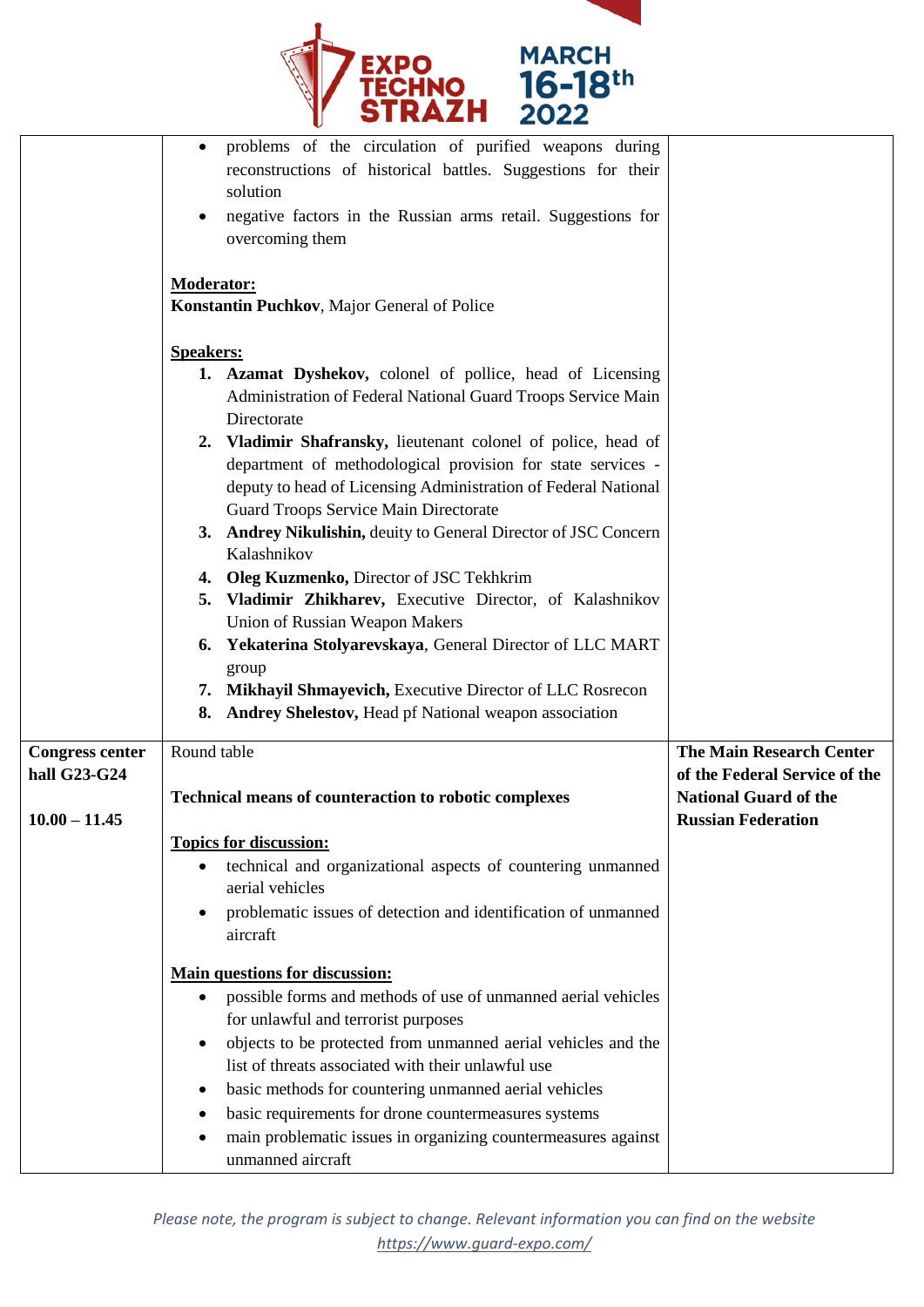

|                        | problems of the circulation of purified weapons during                     |                                 |
|------------------------|----------------------------------------------------------------------------|---------------------------------|
|                        | reconstructions of historical battles. Suggestions for their               |                                 |
|                        | solution                                                                   |                                 |
|                        | negative factors in the Russian arms retail. Suggestions for               |                                 |
|                        | overcoming them                                                            |                                 |
|                        |                                                                            |                                 |
|                        | <b>Moderator:</b>                                                          |                                 |
|                        | Konstantin Puchkov, Major General of Police                                |                                 |
|                        |                                                                            |                                 |
|                        | <b>Speakers:</b>                                                           |                                 |
|                        | 1. Azamat Dyshekov, colonel of pollice, head of Licensing                  |                                 |
|                        | Administration of Federal National Guard Troops Service Main               |                                 |
|                        | Directorate                                                                |                                 |
|                        | 2. Vladimir Shafransky, lieutenant colonel of police, head of              |                                 |
|                        | department of methodological provision for state services -                |                                 |
|                        | deputy to head of Licensing Administration of Federal National             |                                 |
|                        | <b>Guard Troops Service Main Directorate</b>                               |                                 |
|                        | 3. Andrey Nikulishin, deuity to General Director of JSC Concern            |                                 |
|                        | Kalashnikov                                                                |                                 |
|                        | 4. Oleg Kuzmenko, Director of JSC Tekhkrim                                 |                                 |
|                        | 5. Vladimir Zhikharev, Executive Director, of Kalashnikov                  |                                 |
|                        | <b>Union of Russian Weapon Makers</b>                                      |                                 |
|                        | 6. Yekaterina Stolyarevskaya, General Director of LLC MART                 |                                 |
|                        | group                                                                      |                                 |
|                        | 7. Mikhayil Shmayevich, Executive Director of LLC Rosrecon                 |                                 |
|                        | 8. Andrey Shelestov, Head pf National weapon association                   |                                 |
| <b>Congress center</b> | Round table                                                                | <b>The Main Research Center</b> |
| hall G23-G24           |                                                                            | of the Federal Service of the   |
|                        | <b>Technical means of counteraction to robotic complexes</b>               | <b>National Guard of the</b>    |
| $10.00 - 11.45$        |                                                                            | <b>Russian Federation</b>       |
|                        | <b>Topics for discussion:</b>                                              |                                 |
|                        | technical and organizational aspects of countering unmanned                |                                 |
|                        | aerial vehicles                                                            |                                 |
|                        | problematic issues of detection and identification of unmanned             |                                 |
|                        | aircraft                                                                   |                                 |
|                        |                                                                            |                                 |
|                        | <b>Main questions for discussion:</b>                                      |                                 |
|                        | possible forms and methods of use of unmanned aerial vehicles<br>$\bullet$ |                                 |
|                        | for unlawful and terrorist purposes                                        |                                 |
|                        | objects to be protected from unmanned aerial vehicles and the              |                                 |
|                        | list of threats associated with their unlawful use                         |                                 |
|                        | basic methods for countering unmanned aerial vehicles                      |                                 |
|                        | basic requirements for drone countermeasures systems<br>٠                  |                                 |
|                        | main problematic issues in organizing countermeasures against              |                                 |
|                        | unmanned aircraft                                                          |                                 |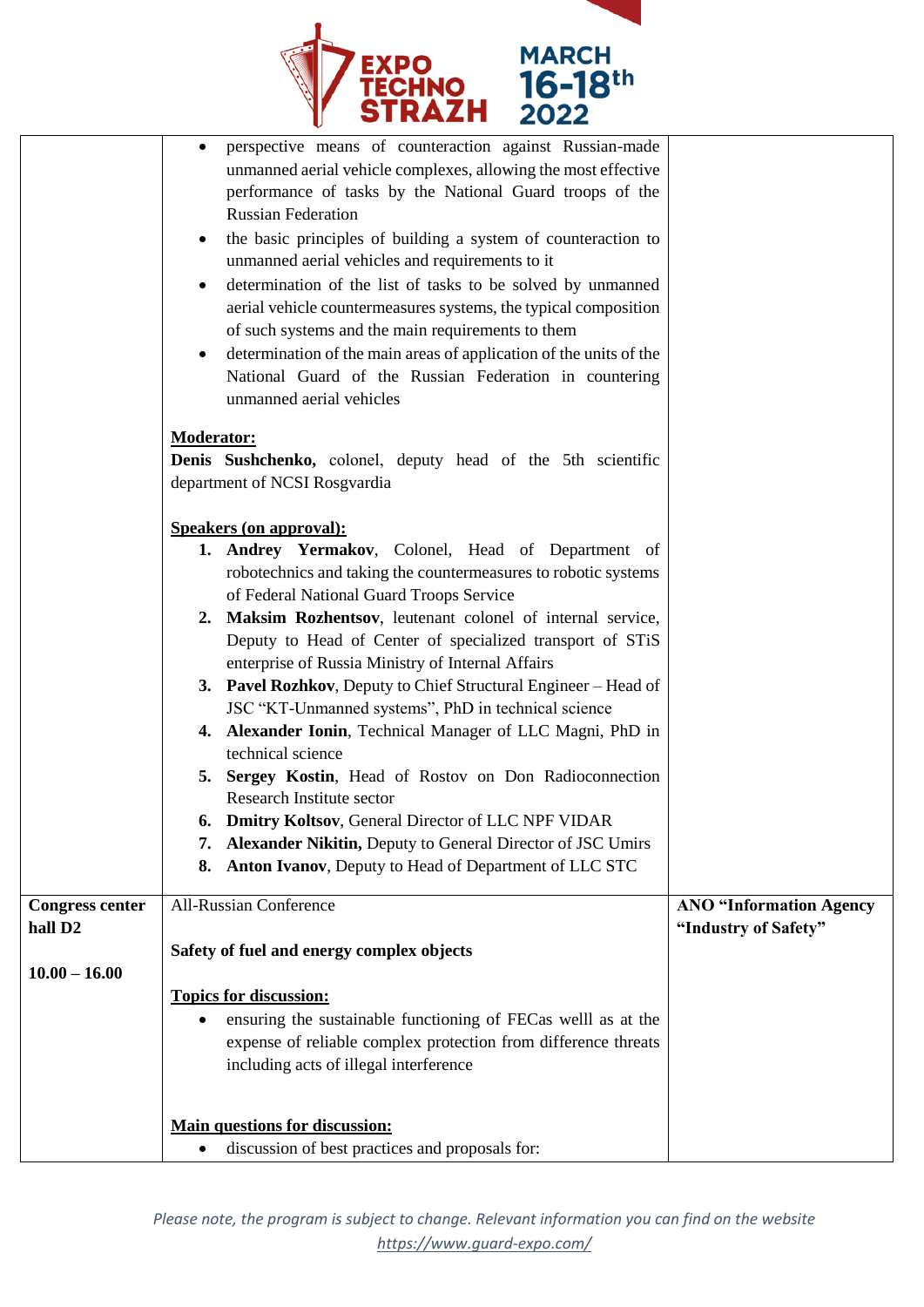

|                        | perspective means of counteraction against Russian-made<br>unmanned aerial vehicle complexes, allowing the most effective<br>performance of tasks by the National Guard troops of the<br><b>Russian Federation</b><br>the basic principles of building a system of counteraction to<br>unmanned aerial vehicles and requirements to it<br>determination of the list of tasks to be solved by unmanned<br>aerial vehicle countermeasures systems, the typical composition<br>of such systems and the main requirements to them<br>determination of the main areas of application of the units of the<br>National Guard of the Russian Federation in countering<br>unmanned aerial vehicles                                                                                                                                                                                                |                                |
|------------------------|------------------------------------------------------------------------------------------------------------------------------------------------------------------------------------------------------------------------------------------------------------------------------------------------------------------------------------------------------------------------------------------------------------------------------------------------------------------------------------------------------------------------------------------------------------------------------------------------------------------------------------------------------------------------------------------------------------------------------------------------------------------------------------------------------------------------------------------------------------------------------------------|--------------------------------|
|                        | <b>Moderator:</b>                                                                                                                                                                                                                                                                                                                                                                                                                                                                                                                                                                                                                                                                                                                                                                                                                                                                        |                                |
|                        | Denis Sushchenko, colonel, deputy head of the 5th scientific<br>department of NCSI Rosgvardia                                                                                                                                                                                                                                                                                                                                                                                                                                                                                                                                                                                                                                                                                                                                                                                            |                                |
|                        |                                                                                                                                                                                                                                                                                                                                                                                                                                                                                                                                                                                                                                                                                                                                                                                                                                                                                          |                                |
|                        | <b>Speakers (on approval):</b><br>1. Andrey Yermakov, Colonel, Head of Department of<br>robotechnics and taking the countermeasures to robotic systems<br>of Federal National Guard Troops Service<br>2. Maksim Rozhentsov, leutenant colonel of internal service,<br>Deputy to Head of Center of specialized transport of STiS<br>enterprise of Russia Ministry of Internal Affairs<br>3. Pavel Rozhkov, Deputy to Chief Structural Engineer - Head of<br>JSC "KT-Unmanned systems", PhD in technical science<br>4. Alexander Ionin, Technical Manager of LLC Magni, PhD in<br>technical science<br>5. Sergey Kostin, Head of Rostov on Don Radioconnection<br>Research Institute sector<br><b>6. Dmitry Koltsov, General Director of LLC NPF VIDAR</b><br>7. Alexander Nikitin, Deputy to General Director of JSC Umirs<br>Anton Ivanov, Deputy to Head of Department of LLC STC<br>8. |                                |
| <b>Congress center</b> | <b>All-Russian Conference</b>                                                                                                                                                                                                                                                                                                                                                                                                                                                                                                                                                                                                                                                                                                                                                                                                                                                            | <b>ANO "Information Agency</b> |
| hall D <sub>2</sub>    | Safety of fuel and energy complex objects                                                                                                                                                                                                                                                                                                                                                                                                                                                                                                                                                                                                                                                                                                                                                                                                                                                | "Industry of Safety"           |
| $10.00 - 16.00$        |                                                                                                                                                                                                                                                                                                                                                                                                                                                                                                                                                                                                                                                                                                                                                                                                                                                                                          |                                |
|                        | <b>Topics for discussion:</b><br>ensuring the sustainable functioning of FECas welll as at the<br>expense of reliable complex protection from difference threats<br>including acts of illegal interference<br><b>Main questions for discussion:</b>                                                                                                                                                                                                                                                                                                                                                                                                                                                                                                                                                                                                                                      |                                |
|                        | discussion of best practices and proposals for:<br>٠                                                                                                                                                                                                                                                                                                                                                                                                                                                                                                                                                                                                                                                                                                                                                                                                                                     |                                |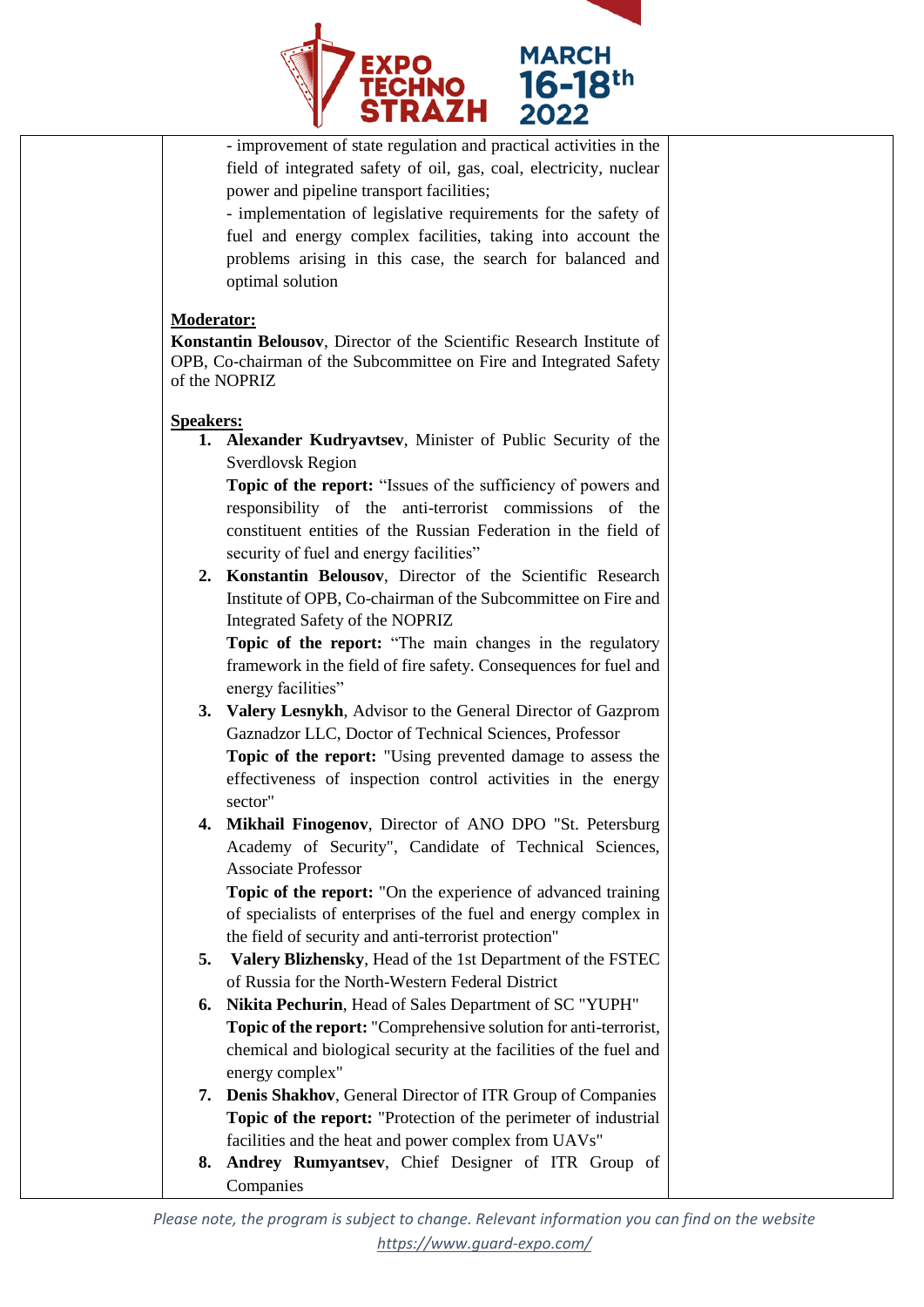

- improvement of state regulation and practical activities in the field of integrated safety of oil, gas, coal, electricity, nuclear power and pipeline transport facilities;

- implementation of legislative requirements for the safety of fuel and energy complex facilities, taking into account the problems arising in this case, the search for balanced and optimal solution

#### **Moderator:**

**Konstantin Belousov**, Director of the Scientific Research Institute of OPB, Co-chairman of the Subcommittee on Fire and Integrated Safety of the NOPRIZ

#### **Speakers:**

**1. Alexander Kudryavtsev**, Minister of Public Security of the Sverdlovsk Region

**Topic of the report:** "Issues of the sufficiency of powers and responsibility of the anti-terrorist commissions of the constituent entities of the Russian Federation in the field of security of fuel and energy facilities"

**2. Konstantin Belousov**, Director of the Scientific Research Institute of OPB, Co-chairman of the Subcommittee on Fire and Integrated Safety of the NOPRIZ

**Topic of the report:** "The main changes in the regulatory framework in the field of fire safety. Consequences for fuel and energy facilities"

**3. Valery Lesnykh**, Advisor to the General Director of Gazprom Gaznadzor LLC, Doctor of Technical Sciences, Professor

**Topic of the report:** "Using prevented damage to assess the effectiveness of inspection control activities in the energy sector"

**4. Mikhail Finogenov**, Director of ANO DPO "St. Petersburg Academy of Security", Candidate of Technical Sciences, Associate Professor

**Topic of the report:** "On the experience of advanced training of specialists of enterprises of the fuel and energy complex in the field of security and anti-terrorist protection"

- **5. Valery Blizhensky**, Head of the 1st Department of the FSTEC of Russia for the North-Western Federal District
- **6. Nikita Pechurin**, Head of Sales Department of SC "YUPH" **Topic of the report:** "Comprehensive solution for anti-terrorist, chemical and biological security at the facilities of the fuel and energy complex"
- **7. Denis Shakhov**, General Director of ITR Group of Companies **Topic of the report:** "Protection of the perimeter of industrial facilities and the heat and power complex from UAVs"
- **8. Andrey Rumyantsev**, Chief Designer of ITR Group of Companies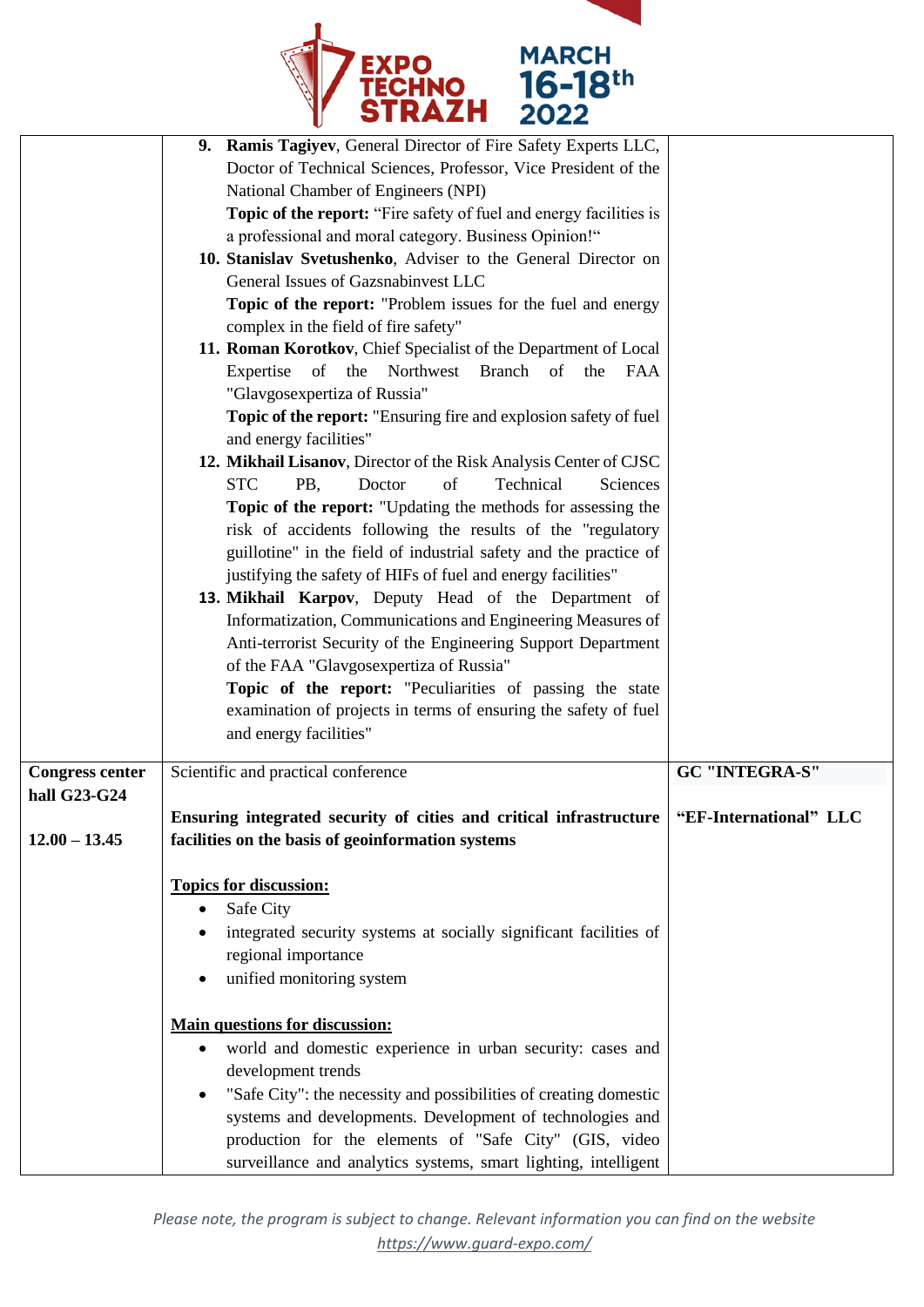

| 9. Ramis Tagiyev, General Director of Fire Safety Experts LLC,<br>Doctor of Technical Sciences, Professor, Vice President of the<br>National Chamber of Engineers (NPI)<br>Topic of the report: "Fire safety of fuel and energy facilities is<br>a professional and moral category. Business Opinion!"<br>10. Stanislav Svetushenko, Adviser to the General Director on<br>General Issues of Gazsnabinvest LLC<br>Topic of the report: "Problem issues for the fuel and energy<br>complex in the field of fire safety"<br>11. Roman Korotkov, Chief Specialist of the Department of Local<br>Expertise of the Northwest Branch of the<br>FAA<br>"Glavgosexpertiza of Russia"<br>Topic of the report: "Ensuring fire and explosion safety of fuel<br>and energy facilities"<br>12. Mikhail Lisanov, Director of the Risk Analysis Center of CJSC<br><b>STC</b><br>Technical<br>PB,<br>of<br>Sciences<br>Doctor<br>Topic of the report: "Updating the methods for assessing the<br>risk of accidents following the results of the "regulatory<br>guillotine" in the field of industrial safety and the practice of<br>justifying the safety of HIFs of fuel and energy facilities"<br>13. Mikhail Karpov, Deputy Head of the Department of<br>Informatization, Communications and Engineering Measures of<br>Anti-terrorist Security of the Engineering Support Department<br>of the FAA "Glavgosexpertiza of Russia"<br>Topic of the report: "Peculiarities of passing the state<br>examination of projects in terms of ensuring the safety of fuel |                                                               |
|----------------------------------------------------------------------------------------------------------------------------------------------------------------------------------------------------------------------------------------------------------------------------------------------------------------------------------------------------------------------------------------------------------------------------------------------------------------------------------------------------------------------------------------------------------------------------------------------------------------------------------------------------------------------------------------------------------------------------------------------------------------------------------------------------------------------------------------------------------------------------------------------------------------------------------------------------------------------------------------------------------------------------------------------------------------------------------------------------------------------------------------------------------------------------------------------------------------------------------------------------------------------------------------------------------------------------------------------------------------------------------------------------------------------------------------------------------------------------------------------------------------------------------------------------|---------------------------------------------------------------|
|                                                                                                                                                                                                                                                                                                                                                                                                                                                                                                                                                                                                                                                                                                                                                                                                                                                                                                                                                                                                                                                                                                                                                                                                                                                                                                                                                                                                                                                                                                                                                    | <b>GC "INTEGRA-S"</b>                                         |
|                                                                                                                                                                                                                                                                                                                                                                                                                                                                                                                                                                                                                                                                                                                                                                                                                                                                                                                                                                                                                                                                                                                                                                                                                                                                                                                                                                                                                                                                                                                                                    |                                                               |
| Ensuring integrated security of cities and critical infrastructure   "EF-International" LLC                                                                                                                                                                                                                                                                                                                                                                                                                                                                                                                                                                                                                                                                                                                                                                                                                                                                                                                                                                                                                                                                                                                                                                                                                                                                                                                                                                                                                                                        |                                                               |
| facilities on the basis of geoinformation systems                                                                                                                                                                                                                                                                                                                                                                                                                                                                                                                                                                                                                                                                                                                                                                                                                                                                                                                                                                                                                                                                                                                                                                                                                                                                                                                                                                                                                                                                                                  |                                                               |
| <b>Topics for discussion:</b><br>Safe City<br>٠<br>integrated security systems at socially significant facilities of<br>regional importance<br>unified monitoring system<br><b>Main questions for discussion:</b><br>world and domestic experience in urban security: cases and<br>$\bullet$<br>development trends<br>"Safe City": the necessity and possibilities of creating domestic<br>systems and developments. Development of technologies and<br>production for the elements of "Safe City" (GIS, video                                                                                                                                                                                                                                                                                                                                                                                                                                                                                                                                                                                                                                                                                                                                                                                                                                                                                                                                                                                                                                     |                                                               |
|                                                                                                                                                                                                                                                                                                                                                                                                                                                                                                                                                                                                                                                                                                                                                                                                                                                                                                                                                                                                                                                                                                                                                                                                                                                                                                                                                                                                                                                                                                                                                    | and energy facilities"<br>Scientific and practical conference |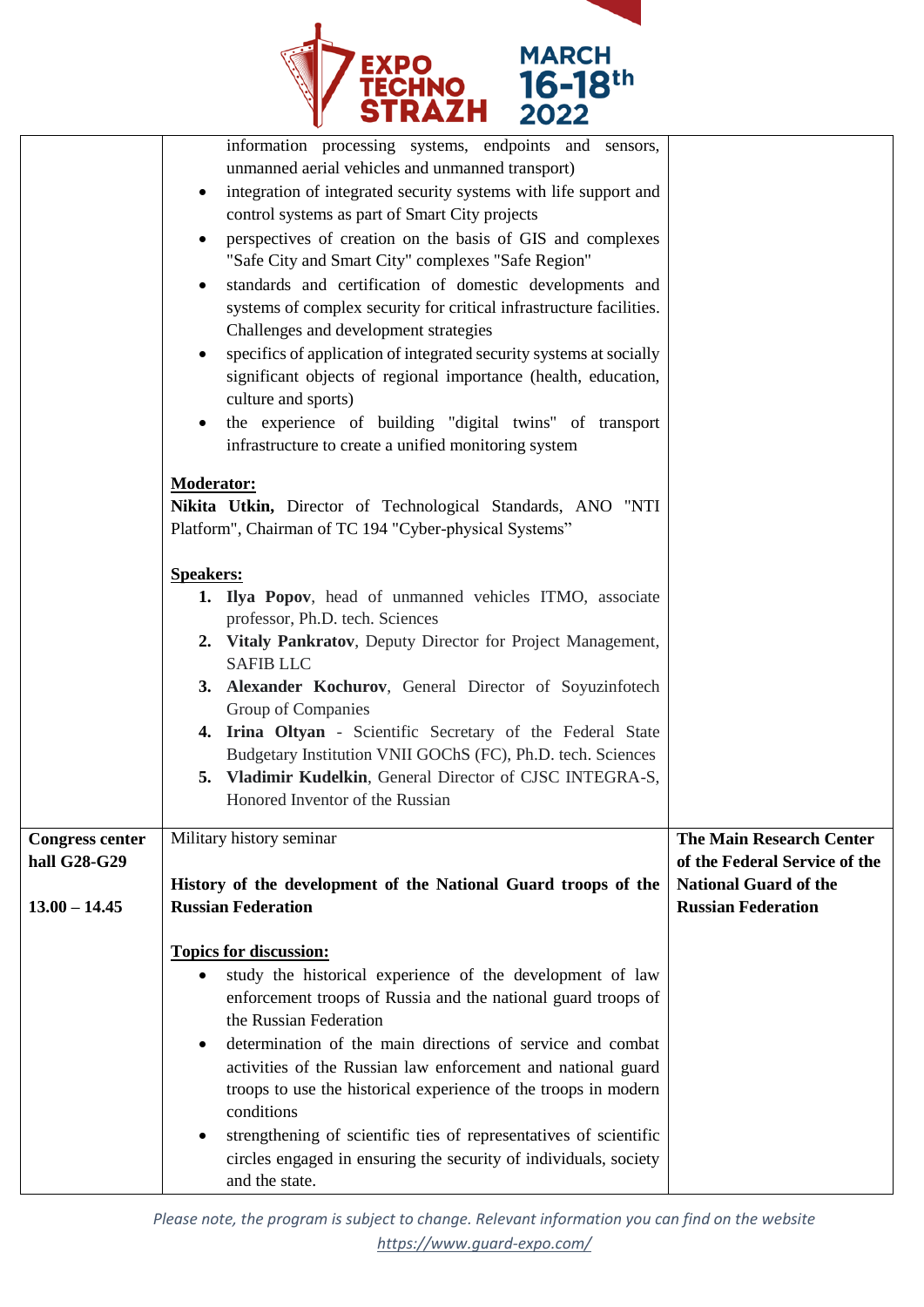

|                                        | information processing systems, endpoints and<br>sensors,<br>unmanned aerial vehicles and unmanned transport)<br>integration of integrated security systems with life support and<br>$\bullet$<br>control systems as part of Smart City projects<br>perspectives of creation on the basis of GIS and complexes<br>$\bullet$<br>"Safe City and Smart City" complexes "Safe Region"<br>standards and certification of domestic developments and<br>$\bullet$<br>systems of complex security for critical infrastructure facilities.<br>Challenges and development strategies<br>specifics of application of integrated security systems at socially<br>$\bullet$<br>significant objects of regional importance (health, education,<br>culture and sports)<br>the experience of building "digital twins" of transport<br>$\bullet$<br>infrastructure to create a unified monitoring system<br><b>Moderator:</b><br>Nikita Utkin, Director of Technological Standards, ANO "NTI<br>Platform", Chairman of TC 194 "Cyber-physical Systems"<br><b>Speakers:</b><br>1. Ilya Popov, head of unmanned vehicles ITMO, associate<br>professor, Ph.D. tech. Sciences<br>2. Vitaly Pankratov, Deputy Director for Project Management,<br><b>SAFIB LLC</b><br>3. Alexander Kochurov, General Director of Soyuzinfotech<br>Group of Companies<br>4. Irina Oltyan - Scientific Secretary of the Federal State<br>Budgetary Institution VNII GOChS (FC), Ph.D. tech. Sciences<br>Vladimir Kudelkin, General Director of CJSC INTEGRA-S,<br>5.<br>Honored Inventor of the Russian |                                                                  |
|----------------------------------------|-----------------------------------------------------------------------------------------------------------------------------------------------------------------------------------------------------------------------------------------------------------------------------------------------------------------------------------------------------------------------------------------------------------------------------------------------------------------------------------------------------------------------------------------------------------------------------------------------------------------------------------------------------------------------------------------------------------------------------------------------------------------------------------------------------------------------------------------------------------------------------------------------------------------------------------------------------------------------------------------------------------------------------------------------------------------------------------------------------------------------------------------------------------------------------------------------------------------------------------------------------------------------------------------------------------------------------------------------------------------------------------------------------------------------------------------------------------------------------------------------------------------------------------------------------------------|------------------------------------------------------------------|
| <b>Congress center</b><br>hall G28-G29 | Military history seminar                                                                                                                                                                                                                                                                                                                                                                                                                                                                                                                                                                                                                                                                                                                                                                                                                                                                                                                                                                                                                                                                                                                                                                                                                                                                                                                                                                                                                                                                                                                                        | <b>The Main Research Center</b><br>of the Federal Service of the |
| $13.00 - 14.45$                        | History of the development of the National Guard troops of the<br><b>Russian Federation</b>                                                                                                                                                                                                                                                                                                                                                                                                                                                                                                                                                                                                                                                                                                                                                                                                                                                                                                                                                                                                                                                                                                                                                                                                                                                                                                                                                                                                                                                                     | <b>National Guard of the</b><br><b>Russian Federation</b>        |
|                                        | <b>Topics for discussion:</b><br>study the historical experience of the development of law<br>enforcement troops of Russia and the national guard troops of<br>the Russian Federation<br>determination of the main directions of service and combat<br>$\bullet$<br>activities of the Russian law enforcement and national guard<br>troops to use the historical experience of the troops in modern<br>conditions<br>strengthening of scientific ties of representatives of scientific<br>circles engaged in ensuring the security of individuals, society<br>and the state.                                                                                                                                                                                                                                                                                                                                                                                                                                                                                                                                                                                                                                                                                                                                                                                                                                                                                                                                                                                    |                                                                  |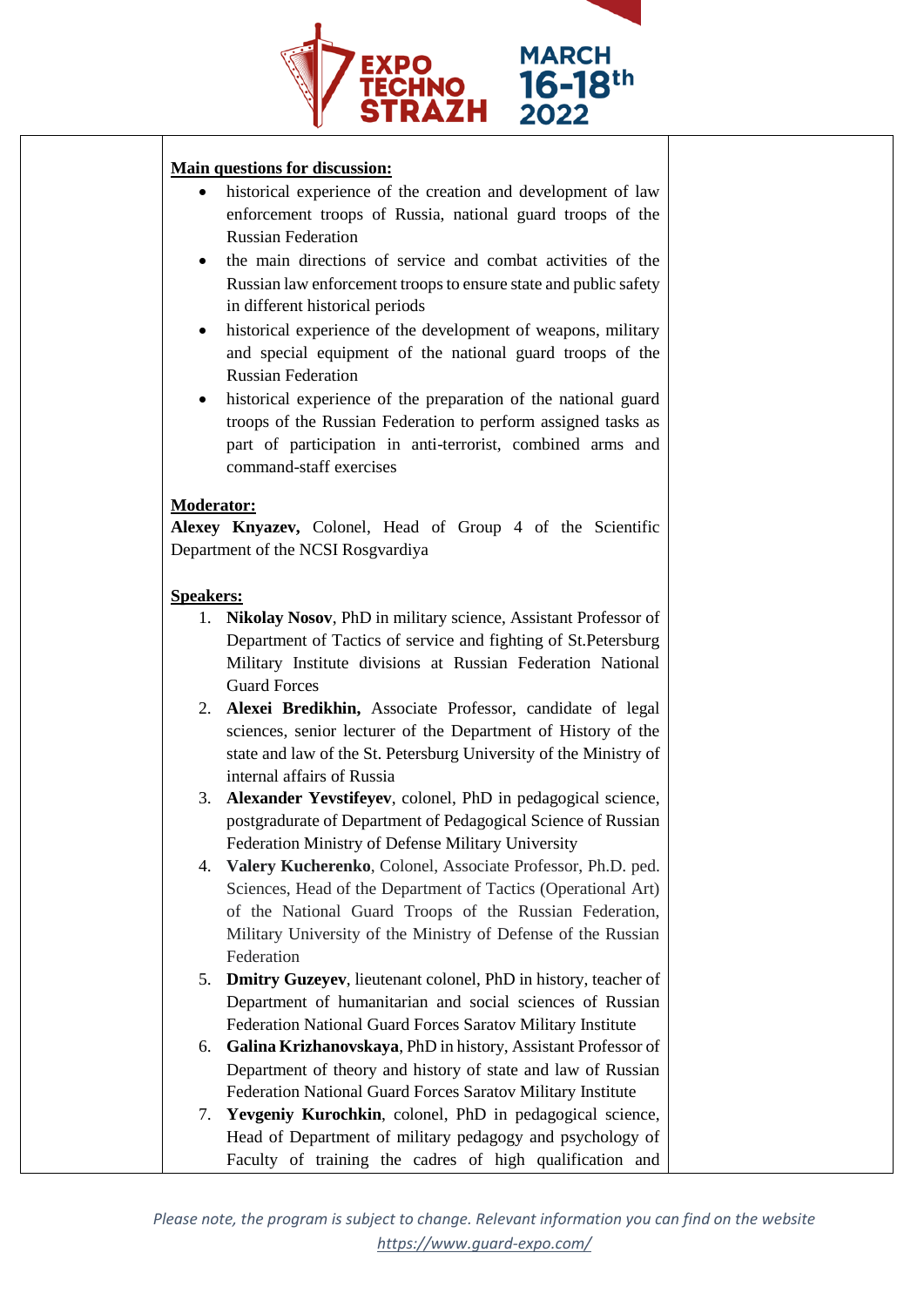

#### **Main questions for discussion:**

- historical experience of the creation and development of law enforcement troops of Russia, national guard troops of the Russian Federation
- the main directions of service and combat activities of the Russian law enforcement troops to ensure state and public safety in different historical periods
- historical experience of the development of weapons, military and special equipment of the national guard troops of the Russian Federation
- historical experience of the preparation of the national guard troops of the Russian Federation to perform assigned tasks as part of participation in anti-terrorist, combined arms and command-staff exercises

## **Moderator:**

**Alexey Knyazev,** Colonel, Head of Group 4 of the Scientific Department of the NCSI Rosgvardiya

## **Speakers:**

- 1. **Nikolay Nosov**, PhD in military science, Assistant Professor of Department of Tactics of service and fighting of St.Petersburg Military Institute divisions at Russian Federation National Guard Forces
- 2. **Alexei Bredikhin,** Associate Professor, candidate of legal sciences, senior lecturer of the Department of History of the state and law of the St. Petersburg University of the Ministry of internal affairs of Russia
- 3. **Alexander Yevstifeyev**, colonel, PhD in pedagogical science, postgradurate of Department of Pedagogical Science of Russian Federation Ministry of Defense Military University
- 4. **Valery Kucherenko**, Colonel, Associate Professor, Ph.D. ped. Sciences, Head of the Department of Tactics (Operational Art) of the National Guard Troops of the Russian Federation, Military University of the Ministry of Defense of the Russian Federation
- 5. **Dmitry Guzeyev**, lieutenant colonel, PhD in history, teacher of Department of humanitarian and social sciences of Russian Federation National Guard Forces Saratov Military Institute
- 6. **Galina Krizhanovskaya**, PhD in history, Assistant Professor of Department of theory and history of state and law of Russian Federation National Guard Forces Saratov Military Institute
- 7. **Yevgeniy Kurochkin**, colonel, PhD in pedagogical science, Head of Department of military pedagogy and psychology of Faculty of training the cadres of high qualification and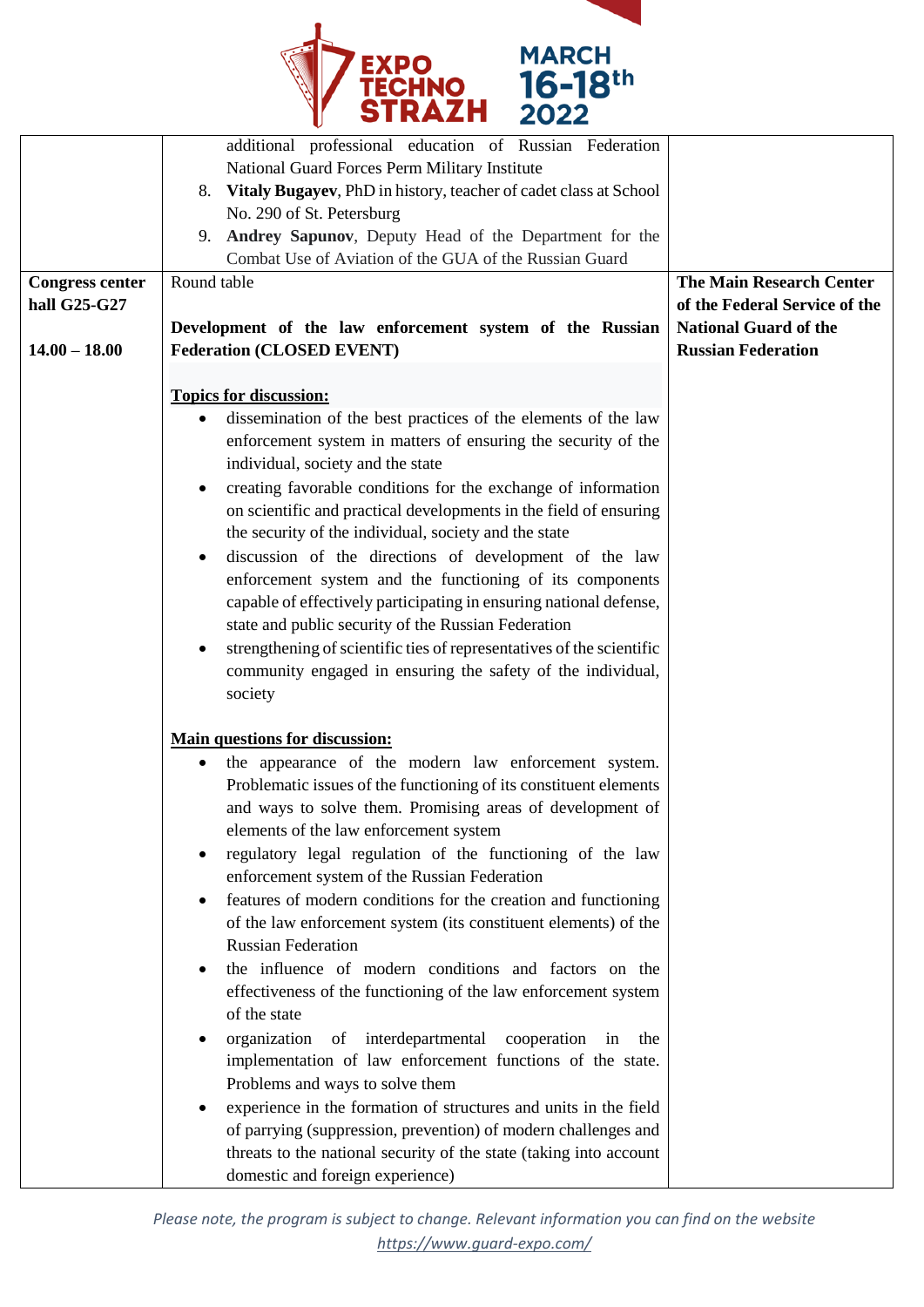

|                        | additional professional education of Russian Federation                            |                                                               |
|------------------------|------------------------------------------------------------------------------------|---------------------------------------------------------------|
|                        | National Guard Forces Perm Military Institute                                      |                                                               |
|                        | Vitaly Bugayev, PhD in history, teacher of cadet class at School<br>8.             |                                                               |
|                        | No. 290 of St. Petersburg                                                          |                                                               |
|                        | Andrey Sapunov, Deputy Head of the Department for the<br>9.                        |                                                               |
|                        | Combat Use of Aviation of the GUA of the Russian Guard                             |                                                               |
|                        | Round table                                                                        | <b>The Main Research Center</b>                               |
| <b>Congress center</b> |                                                                                    |                                                               |
| hall G25-G27           |                                                                                    | of the Federal Service of the<br><b>National Guard of the</b> |
|                        | Development of the law enforcement system of the Russian                           |                                                               |
| $14.00 - 18.00$        | <b>Federation (CLOSED EVENT)</b>                                                   | <b>Russian Federation</b>                                     |
|                        | <b>Topics for discussion:</b>                                                      |                                                               |
|                        |                                                                                    |                                                               |
|                        | dissemination of the best practices of the elements of the law                     |                                                               |
|                        | enforcement system in matters of ensuring the security of the                      |                                                               |
|                        | individual, society and the state                                                  |                                                               |
|                        | creating favorable conditions for the exchange of information                      |                                                               |
|                        | on scientific and practical developments in the field of ensuring                  |                                                               |
|                        | the security of the individual, society and the state                              |                                                               |
|                        | discussion of the directions of development of the law<br>$\bullet$                |                                                               |
|                        | enforcement system and the functioning of its components                           |                                                               |
|                        | capable of effectively participating in ensuring national defense,                 |                                                               |
|                        | state and public security of the Russian Federation                                |                                                               |
|                        | strengthening of scientific ties of representatives of the scientific<br>$\bullet$ |                                                               |
|                        | community engaged in ensuring the safety of the individual,                        |                                                               |
|                        | society                                                                            |                                                               |
|                        |                                                                                    |                                                               |
|                        | <b>Main questions for discussion:</b>                                              |                                                               |
|                        | the appearance of the modern law enforcement system.<br>$\bullet$                  |                                                               |
|                        | Problematic issues of the functioning of its constituent elements                  |                                                               |
|                        | and ways to solve them. Promising areas of development of                          |                                                               |
|                        | elements of the law enforcement system                                             |                                                               |
|                        | regulatory legal regulation of the functioning of the law                          |                                                               |
|                        | enforcement system of the Russian Federation                                       |                                                               |
|                        | features of modern conditions for the creation and functioning<br>$\bullet$        |                                                               |
|                        | of the law enforcement system (its constituent elements) of the                    |                                                               |
|                        | <b>Russian Federation</b>                                                          |                                                               |
|                        | the influence of modern conditions and factors on the<br>$\bullet$                 |                                                               |
|                        | effectiveness of the functioning of the law enforcement system                     |                                                               |
|                        | of the state                                                                       |                                                               |
|                        |                                                                                    |                                                               |
|                        | of interdepartmental<br>organization<br>cooperation<br>the<br>in                   |                                                               |
|                        | implementation of law enforcement functions of the state.                          |                                                               |
|                        | Problems and ways to solve them                                                    |                                                               |
|                        | experience in the formation of structures and units in the field<br>$\bullet$      |                                                               |
|                        | of parrying (suppression, prevention) of modern challenges and                     |                                                               |
|                        | threats to the national security of the state (taking into account                 |                                                               |
|                        | domestic and foreign experience)                                                   |                                                               |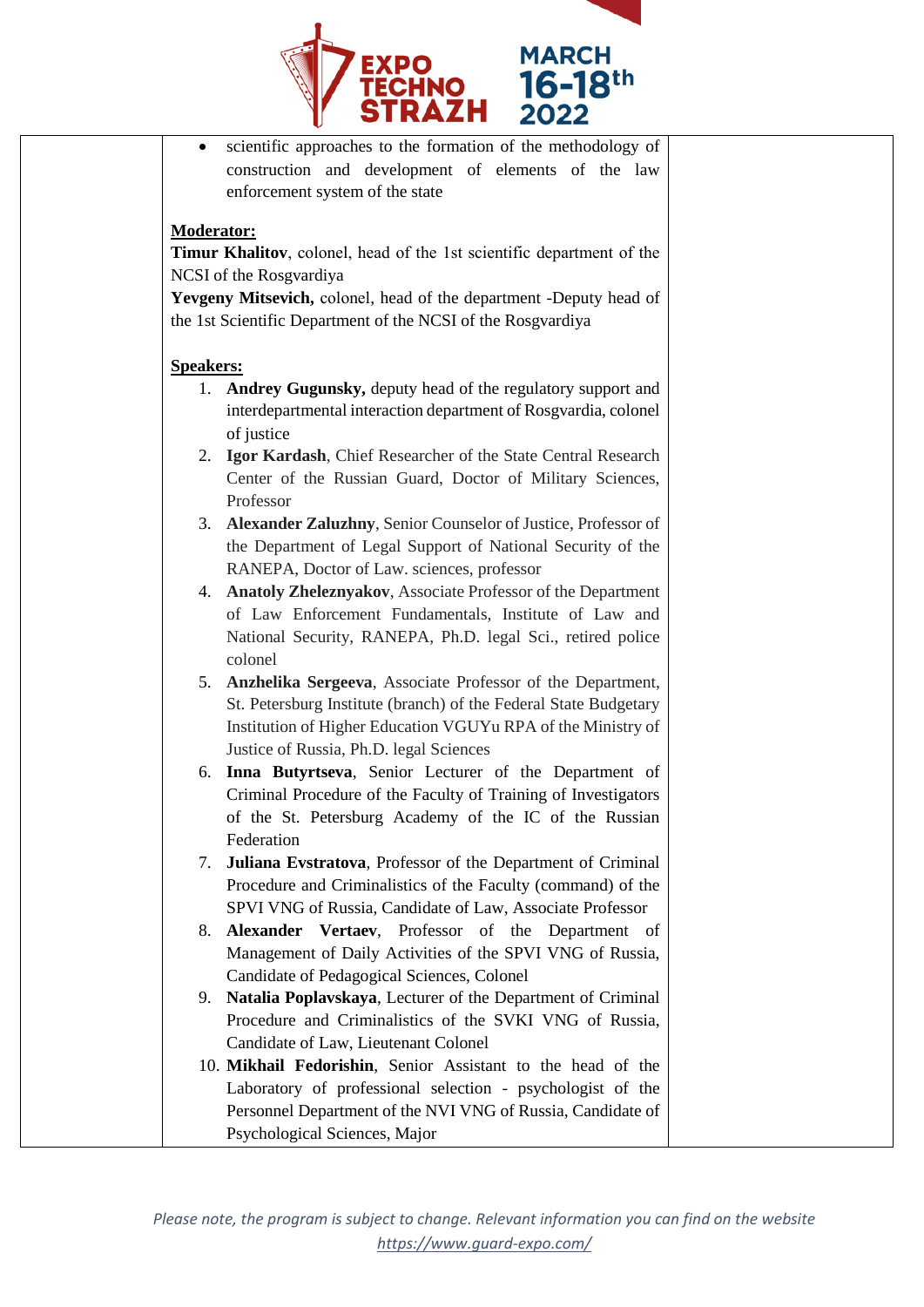

 scientific approaches to the formation of the methodology of construction and development of elements of the law enforcement system of the state

## **Moderator:**

**Timur Khalitov**, сolonel, head of the 1st scientific department of the NCSI of the Rosgvardiya

**Yevgeny Mitsevich,** сolonel, head of the department -Deputy head of the 1st Scientific Department of the NCSI of the Rosgvardiya

#### **Speakers:**

- 1. **Andrey Gugunsky,** deputy head of the regulatory support and interdepartmental interaction department of Rosgvardia, colonel of justice
- 2. **Igor Kardash**, Chief Researcher of the State Central Research Center of the Russian Guard, Doctor of Military Sciences, Professor
- 3. **Alexander Zaluzhny**, Senior Counselor of Justice, Professor of the Department of Legal Support of National Security of the RANEPA, Doctor of Law. sciences, professor
- 4. **Anatoly Zheleznyakov**, Associate Professor of the Department of Law Enforcement Fundamentals, Institute of Law and National Security, RANEPA, Ph.D. legal Sci., retired police colonel
- 5. **Anzhelika Sergeeva**, Associate Professor of the Department, St. Petersburg Institute (branch) of the Federal State Budgetary Institution of Higher Education VGUYu RPA of the Ministry of Justice of Russia, Ph.D. legal Sciences
- 6. **Inna Butyrtseva**, Senior Lecturer of the Department of Criminal Procedure of the Faculty of Training of Investigators of the St. Petersburg Academy of the IC of the Russian Federation
- 7. **Juliana Evstratova**, Professor of the Department of Criminal Procedure and Criminalistics of the Faculty (command) of the SPVI VNG of Russia, Candidate of Law, Associate Professor
- 8. **Alexander Vertaev**, Professor of the Department of Management of Daily Activities of the SPVI VNG of Russia, Candidate of Pedagogical Sciences, Colonel
- 9. **Natalia Poplavskaya**, Lecturer of the Department of Criminal Procedure and Criminalistics of the SVKI VNG of Russia, Candidate of Law, Lieutenant Colonel
- 10. **Mikhail Fedorishin**, Senior Assistant to the head of the Laboratory of professional selection - psychologist of the Personnel Department of the NVI VNG of Russia, Candidate of Psychological Sciences, Major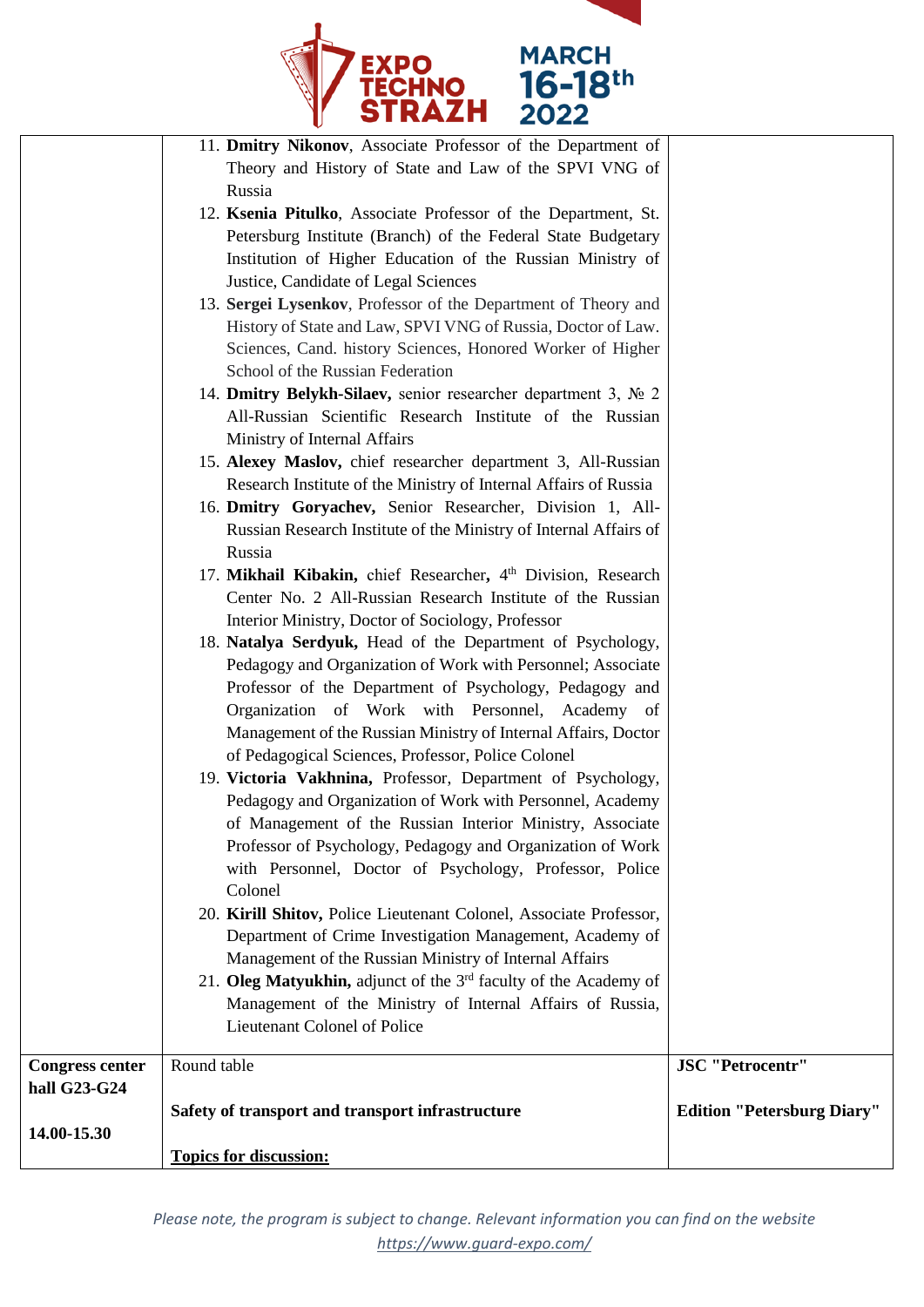

| Management of the Russian Ministry of Internal Affairs, Doctor<br>of Pedagogical Sciences, Professor, Police Colonel<br>19. Victoria Vakhnina, Professor, Department of Psychology,<br>Pedagogy and Organization of Work with Personnel, Academy<br>of Management of the Russian Interior Ministry, Associate<br>Professor of Psychology, Pedagogy and Organization of Work<br>with Personnel, Doctor of Psychology, Professor, Police<br>Colonel<br>20. Kirill Shitov, Police Lieutenant Colonel, Associate Professor,<br>Department of Crime Investigation Management, Academy of<br>Management of the Russian Ministry of Internal Affairs |                                                                                                                                                                                                                                                                                                                                                                                                                                                                                                                                                                                                                                                                                                                                                                                                                                                                                                                                                                        |
|-----------------------------------------------------------------------------------------------------------------------------------------------------------------------------------------------------------------------------------------------------------------------------------------------------------------------------------------------------------------------------------------------------------------------------------------------------------------------------------------------------------------------------------------------------------------------------------------------------------------------------------------------|------------------------------------------------------------------------------------------------------------------------------------------------------------------------------------------------------------------------------------------------------------------------------------------------------------------------------------------------------------------------------------------------------------------------------------------------------------------------------------------------------------------------------------------------------------------------------------------------------------------------------------------------------------------------------------------------------------------------------------------------------------------------------------------------------------------------------------------------------------------------------------------------------------------------------------------------------------------------|
|                                                                                                                                                                                                                                                                                                                                                                                                                                                                                                                                                                                                                                               |                                                                                                                                                                                                                                                                                                                                                                                                                                                                                                                                                                                                                                                                                                                                                                                                                                                                                                                                                                        |
|                                                                                                                                                                                                                                                                                                                                                                                                                                                                                                                                                                                                                                               |                                                                                                                                                                                                                                                                                                                                                                                                                                                                                                                                                                                                                                                                                                                                                                                                                                                                                                                                                                        |
|                                                                                                                                                                                                                                                                                                                                                                                                                                                                                                                                                                                                                                               |                                                                                                                                                                                                                                                                                                                                                                                                                                                                                                                                                                                                                                                                                                                                                                                                                                                                                                                                                                        |
|                                                                                                                                                                                                                                                                                                                                                                                                                                                                                                                                                                                                                                               |                                                                                                                                                                                                                                                                                                                                                                                                                                                                                                                                                                                                                                                                                                                                                                                                                                                                                                                                                                        |
|                                                                                                                                                                                                                                                                                                                                                                                                                                                                                                                                                                                                                                               |                                                                                                                                                                                                                                                                                                                                                                                                                                                                                                                                                                                                                                                                                                                                                                                                                                                                                                                                                                        |
|                                                                                                                                                                                                                                                                                                                                                                                                                                                                                                                                                                                                                                               |                                                                                                                                                                                                                                                                                                                                                                                                                                                                                                                                                                                                                                                                                                                                                                                                                                                                                                                                                                        |
|                                                                                                                                                                                                                                                                                                                                                                                                                                                                                                                                                                                                                                               |                                                                                                                                                                                                                                                                                                                                                                                                                                                                                                                                                                                                                                                                                                                                                                                                                                                                                                                                                                        |
| Organization of Work with Personnel, Academy of                                                                                                                                                                                                                                                                                                                                                                                                                                                                                                                                                                                               |                                                                                                                                                                                                                                                                                                                                                                                                                                                                                                                                                                                                                                                                                                                                                                                                                                                                                                                                                                        |
| Professor of the Department of Psychology, Pedagogy and                                                                                                                                                                                                                                                                                                                                                                                                                                                                                                                                                                                       |                                                                                                                                                                                                                                                                                                                                                                                                                                                                                                                                                                                                                                                                                                                                                                                                                                                                                                                                                                        |
| Pedagogy and Organization of Work with Personnel; Associate                                                                                                                                                                                                                                                                                                                                                                                                                                                                                                                                                                                   |                                                                                                                                                                                                                                                                                                                                                                                                                                                                                                                                                                                                                                                                                                                                                                                                                                                                                                                                                                        |
|                                                                                                                                                                                                                                                                                                                                                                                                                                                                                                                                                                                                                                               |                                                                                                                                                                                                                                                                                                                                                                                                                                                                                                                                                                                                                                                                                                                                                                                                                                                                                                                                                                        |
|                                                                                                                                                                                                                                                                                                                                                                                                                                                                                                                                                                                                                                               |                                                                                                                                                                                                                                                                                                                                                                                                                                                                                                                                                                                                                                                                                                                                                                                                                                                                                                                                                                        |
|                                                                                                                                                                                                                                                                                                                                                                                                                                                                                                                                                                                                                                               |                                                                                                                                                                                                                                                                                                                                                                                                                                                                                                                                                                                                                                                                                                                                                                                                                                                                                                                                                                        |
|                                                                                                                                                                                                                                                                                                                                                                                                                                                                                                                                                                                                                                               |                                                                                                                                                                                                                                                                                                                                                                                                                                                                                                                                                                                                                                                                                                                                                                                                                                                                                                                                                                        |
|                                                                                                                                                                                                                                                                                                                                                                                                                                                                                                                                                                                                                                               |                                                                                                                                                                                                                                                                                                                                                                                                                                                                                                                                                                                                                                                                                                                                                                                                                                                                                                                                                                        |
|                                                                                                                                                                                                                                                                                                                                                                                                                                                                                                                                                                                                                                               |                                                                                                                                                                                                                                                                                                                                                                                                                                                                                                                                                                                                                                                                                                                                                                                                                                                                                                                                                                        |
| Research Institute of the Ministry of Internal Affairs of Russia                                                                                                                                                                                                                                                                                                                                                                                                                                                                                                                                                                              |                                                                                                                                                                                                                                                                                                                                                                                                                                                                                                                                                                                                                                                                                                                                                                                                                                                                                                                                                                        |
| 15. Alexey Maslov, chief researcher department 3, All-Russian                                                                                                                                                                                                                                                                                                                                                                                                                                                                                                                                                                                 |                                                                                                                                                                                                                                                                                                                                                                                                                                                                                                                                                                                                                                                                                                                                                                                                                                                                                                                                                                        |
| Ministry of Internal Affairs                                                                                                                                                                                                                                                                                                                                                                                                                                                                                                                                                                                                                  |                                                                                                                                                                                                                                                                                                                                                                                                                                                                                                                                                                                                                                                                                                                                                                                                                                                                                                                                                                        |
| All-Russian Scientific Research Institute of the Russian                                                                                                                                                                                                                                                                                                                                                                                                                                                                                                                                                                                      |                                                                                                                                                                                                                                                                                                                                                                                                                                                                                                                                                                                                                                                                                                                                                                                                                                                                                                                                                                        |
| 14. Dmitry Belykh-Silaev, senior researcher department 3, № 2                                                                                                                                                                                                                                                                                                                                                                                                                                                                                                                                                                                 |                                                                                                                                                                                                                                                                                                                                                                                                                                                                                                                                                                                                                                                                                                                                                                                                                                                                                                                                                                        |
| School of the Russian Federation                                                                                                                                                                                                                                                                                                                                                                                                                                                                                                                                                                                                              |                                                                                                                                                                                                                                                                                                                                                                                                                                                                                                                                                                                                                                                                                                                                                                                                                                                                                                                                                                        |
|                                                                                                                                                                                                                                                                                                                                                                                                                                                                                                                                                                                                                                               |                                                                                                                                                                                                                                                                                                                                                                                                                                                                                                                                                                                                                                                                                                                                                                                                                                                                                                                                                                        |
|                                                                                                                                                                                                                                                                                                                                                                                                                                                                                                                                                                                                                                               |                                                                                                                                                                                                                                                                                                                                                                                                                                                                                                                                                                                                                                                                                                                                                                                                                                                                                                                                                                        |
|                                                                                                                                                                                                                                                                                                                                                                                                                                                                                                                                                                                                                                               |                                                                                                                                                                                                                                                                                                                                                                                                                                                                                                                                                                                                                                                                                                                                                                                                                                                                                                                                                                        |
|                                                                                                                                                                                                                                                                                                                                                                                                                                                                                                                                                                                                                                               |                                                                                                                                                                                                                                                                                                                                                                                                                                                                                                                                                                                                                                                                                                                                                                                                                                                                                                                                                                        |
|                                                                                                                                                                                                                                                                                                                                                                                                                                                                                                                                                                                                                                               |                                                                                                                                                                                                                                                                                                                                                                                                                                                                                                                                                                                                                                                                                                                                                                                                                                                                                                                                                                        |
|                                                                                                                                                                                                                                                                                                                                                                                                                                                                                                                                                                                                                                               |                                                                                                                                                                                                                                                                                                                                                                                                                                                                                                                                                                                                                                                                                                                                                                                                                                                                                                                                                                        |
|                                                                                                                                                                                                                                                                                                                                                                                                                                                                                                                                                                                                                                               |                                                                                                                                                                                                                                                                                                                                                                                                                                                                                                                                                                                                                                                                                                                                                                                                                                                                                                                                                                        |
|                                                                                                                                                                                                                                                                                                                                                                                                                                                                                                                                                                                                                                               |                                                                                                                                                                                                                                                                                                                                                                                                                                                                                                                                                                                                                                                                                                                                                                                                                                                                                                                                                                        |
|                                                                                                                                                                                                                                                                                                                                                                                                                                                                                                                                                                                                                                               |                                                                                                                                                                                                                                                                                                                                                                                                                                                                                                                                                                                                                                                                                                                                                                                                                                                                                                                                                                        |
|                                                                                                                                                                                                                                                                                                                                                                                                                                                                                                                                                                                                                                               | 11. Dmitry Nikonov, Associate Professor of the Department of<br>Theory and History of State and Law of the SPVI VNG of<br>Russia<br>12. Ksenia Pitulko, Associate Professor of the Department, St.<br>Petersburg Institute (Branch) of the Federal State Budgetary<br>Institution of Higher Education of the Russian Ministry of<br>Justice, Candidate of Legal Sciences<br>13. Sergei Lysenkov, Professor of the Department of Theory and<br>History of State and Law, SPVI VNG of Russia, Doctor of Law.<br>Sciences, Cand. history Sciences, Honored Worker of Higher<br>16. Dmitry Goryachev, Senior Researcher, Division 1, All-<br>Russian Research Institute of the Ministry of Internal Affairs of<br>Russia<br>17. Mikhail Kibakin, chief Researcher, 4th Division, Research<br>Center No. 2 All-Russian Research Institute of the Russian<br>Interior Ministry, Doctor of Sociology, Professor<br>18. Natalya Serdyuk, Head of the Department of Psychology, |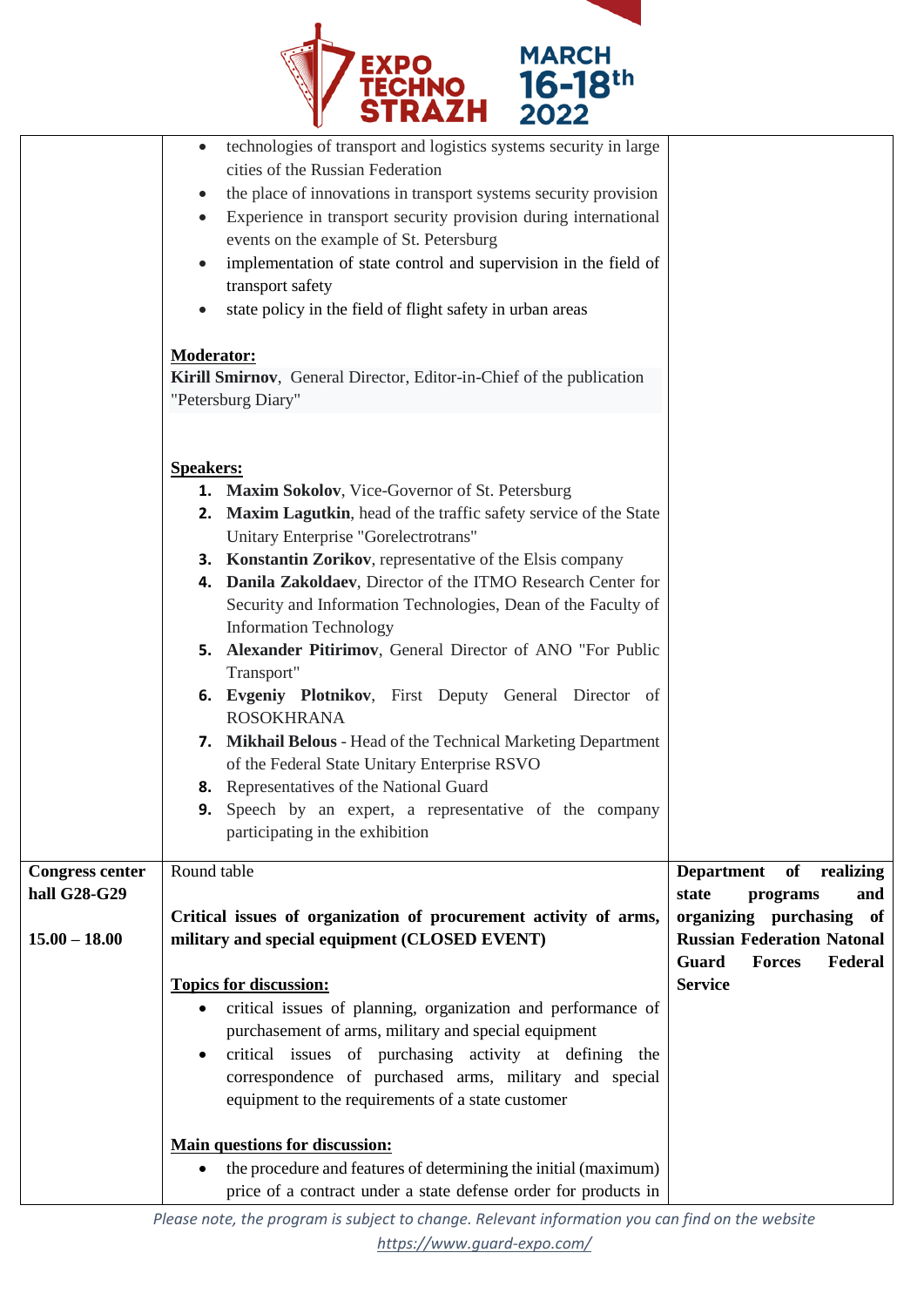

|                        | cities of the Russian Federation<br>the place of innovations in transport systems security provision                    |                                                                               |
|------------------------|-------------------------------------------------------------------------------------------------------------------------|-------------------------------------------------------------------------------|
|                        | Experience in transport security provision during international<br>events on the example of St. Petersburg              |                                                                               |
|                        | implementation of state control and supervision in the field of                                                         |                                                                               |
|                        | transport safety                                                                                                        |                                                                               |
|                        | state policy in the field of flight safety in urban areas                                                               |                                                                               |
|                        | <b>Moderator:</b>                                                                                                       |                                                                               |
|                        | Kirill Smirnov, General Director, Editor-in-Chief of the publication                                                    |                                                                               |
|                        | "Petersburg Diary"                                                                                                      |                                                                               |
|                        |                                                                                                                         |                                                                               |
|                        | <b>Speakers:</b>                                                                                                        |                                                                               |
|                        | 1. Maxim Sokolov, Vice-Governor of St. Petersburg<br>2. Maxim Lagutkin, head of the traffic safety service of the State |                                                                               |
|                        | Unitary Enterprise "Gorelectrotrans"                                                                                    |                                                                               |
|                        | <b>3. Konstantin Zorikov</b> , representative of the Elsis company                                                      |                                                                               |
|                        | 4. Danila Zakoldaev, Director of the ITMO Research Center for                                                           |                                                                               |
|                        | Security and Information Technologies, Dean of the Faculty of                                                           |                                                                               |
|                        | <b>Information Technology</b><br>5. Alexander Pitirimov, General Director of ANO "For Public                            |                                                                               |
|                        | Transport"                                                                                                              |                                                                               |
|                        | 6. Evgeniy Plotnikov, First Deputy General Director of                                                                  |                                                                               |
|                        | <b>ROSOKHRANA</b>                                                                                                       |                                                                               |
|                        | 7. Mikhail Belous - Head of the Technical Marketing Department<br>of the Federal State Unitary Enterprise RSVO          |                                                                               |
|                        | 8. Representatives of the National Guard                                                                                |                                                                               |
|                        | <b>9.</b> Speech by an expert, a representative of the company                                                          |                                                                               |
|                        | participating in the exhibition                                                                                         |                                                                               |
| <b>Congress center</b> | Round table                                                                                                             | of realizing<br><b>Department</b>                                             |
| hall G28-G29           |                                                                                                                         | state<br>and<br>programs                                                      |
|                        | Critical issues of organization of procurement activity of arms,                                                        | organizing purchasing of                                                      |
| $15.00 - 18.00$        | military and special equipment (CLOSED EVENT)                                                                           | <b>Russian Federation Natonal</b><br><b>Guard</b><br><b>Forces</b><br>Federal |
|                        | <b>Topics for discussion:</b>                                                                                           | <b>Service</b>                                                                |
|                        | critical issues of planning, organization and performance of<br>$\bullet$                                               |                                                                               |
|                        | purchasement of arms, military and special equipment                                                                    |                                                                               |
|                        | critical issues of purchasing activity at defining the<br>correspondence of purchased arms, military and special        |                                                                               |
|                        | equipment to the requirements of a state customer                                                                       |                                                                               |
|                        |                                                                                                                         |                                                                               |
|                        | <b>Main questions for discussion:</b><br>the procedure and features of determining the initial (maximum)                |                                                                               |
|                        | price of a contract under a state defense order for products in                                                         |                                                                               |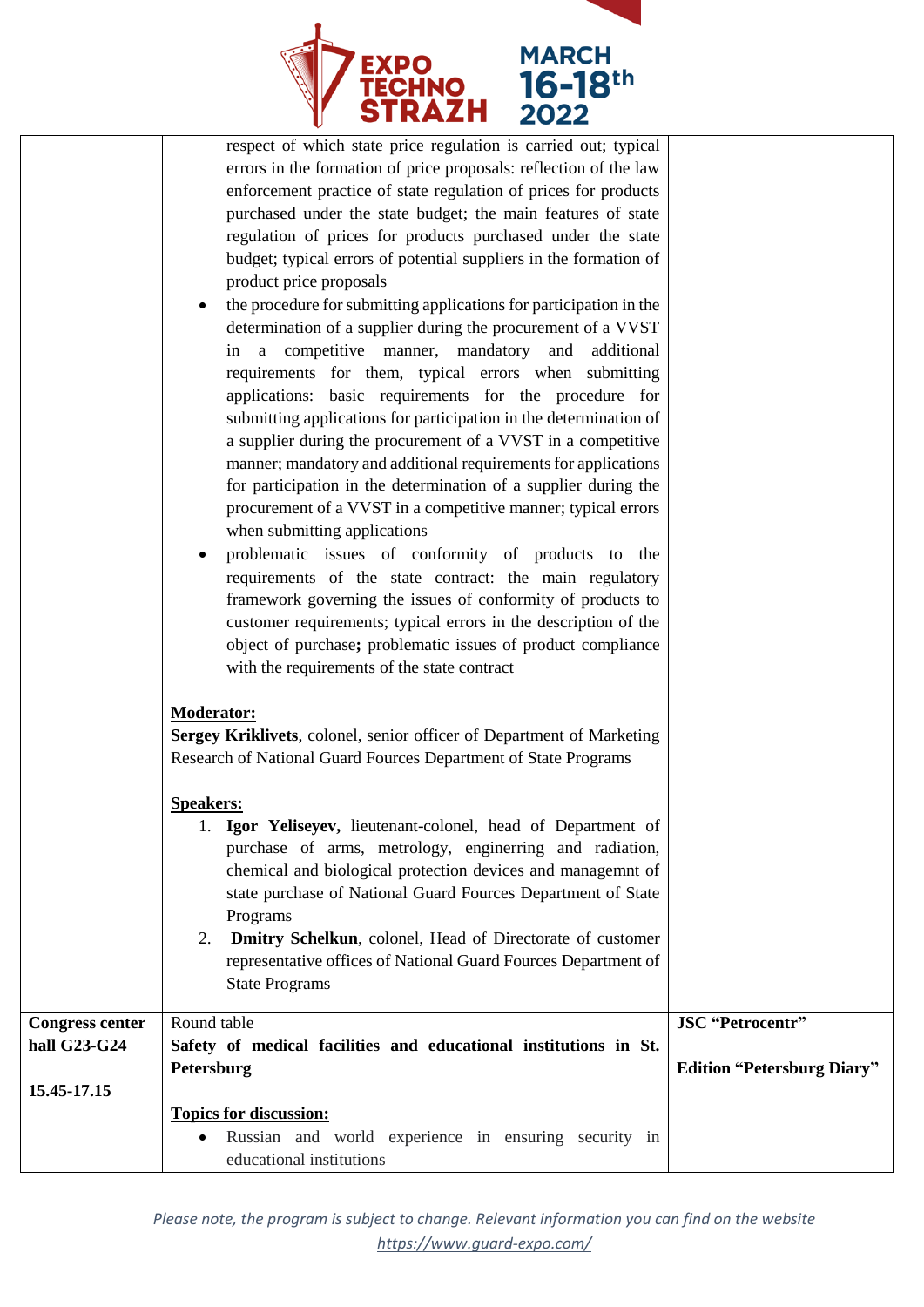

|                        | respect of which state price regulation is carried out; typical       |                                   |
|------------------------|-----------------------------------------------------------------------|-----------------------------------|
|                        | errors in the formation of price proposals: reflection of the law     |                                   |
|                        | enforcement practice of state regulation of prices for products       |                                   |
|                        | purchased under the state budget; the main features of state          |                                   |
|                        | regulation of prices for products purchased under the state           |                                   |
|                        | budget; typical errors of potential suppliers in the formation of     |                                   |
|                        | product price proposals                                               |                                   |
|                        |                                                                       |                                   |
|                        | the procedure for submitting applications for participation in the    |                                   |
|                        | determination of a supplier during the procurement of a VVST          |                                   |
|                        | in a competitive manner, mandatory and additional                     |                                   |
|                        | requirements for them, typical errors when submitting                 |                                   |
|                        | applications: basic requirements for the procedure for                |                                   |
|                        | submitting applications for participation in the determination of     |                                   |
|                        | a supplier during the procurement of a VVST in a competitive          |                                   |
|                        | manner; mandatory and additional requirements for applications        |                                   |
|                        | for participation in the determination of a supplier during the       |                                   |
|                        | procurement of a VVST in a competitive manner; typical errors         |                                   |
|                        | when submitting applications                                          |                                   |
|                        | problematic issues of conformity of products to the                   |                                   |
|                        | requirements of the state contract: the main regulatory               |                                   |
|                        | framework governing the issues of conformity of products to           |                                   |
|                        | customer requirements; typical errors in the description of the       |                                   |
|                        | object of purchase; problematic issues of product compliance          |                                   |
|                        |                                                                       |                                   |
|                        | with the requirements of the state contract                           |                                   |
|                        | <b>Moderator:</b>                                                     |                                   |
|                        | Sergey Kriklivets, colonel, senior officer of Department of Marketing |                                   |
|                        |                                                                       |                                   |
|                        | Research of National Guard Fources Department of State Programs       |                                   |
|                        | <b>Speakers:</b>                                                      |                                   |
|                        | Igor Yeliseyev, lieutenant-colonel, head of Department of             |                                   |
|                        | purchase of arms, metrology, enginerring and radiation,               |                                   |
|                        | chemical and biological protection devices and managemnt of           |                                   |
|                        | state purchase of National Guard Fources Department of State          |                                   |
|                        | Programs                                                              |                                   |
|                        | Dmitry Schelkun, colonel, Head of Directorate of customer<br>2.       |                                   |
|                        | representative offices of National Guard Fources Department of        |                                   |
|                        | <b>State Programs</b>                                                 |                                   |
|                        |                                                                       |                                   |
| <b>Congress center</b> | Round table                                                           | <b>JSC</b> "Petrocentr"           |
| hall G23-G24           | Safety of medical facilities and educational institutions in St.      |                                   |
|                        | Petersburg                                                            | <b>Edition "Petersburg Diary"</b> |
| 15.45-17.15            |                                                                       |                                   |
|                        | <b>Topics for discussion:</b>                                         |                                   |
|                        | Russian and world experience in ensuring security in                  |                                   |
|                        | educational institutions                                              |                                   |
|                        |                                                                       |                                   |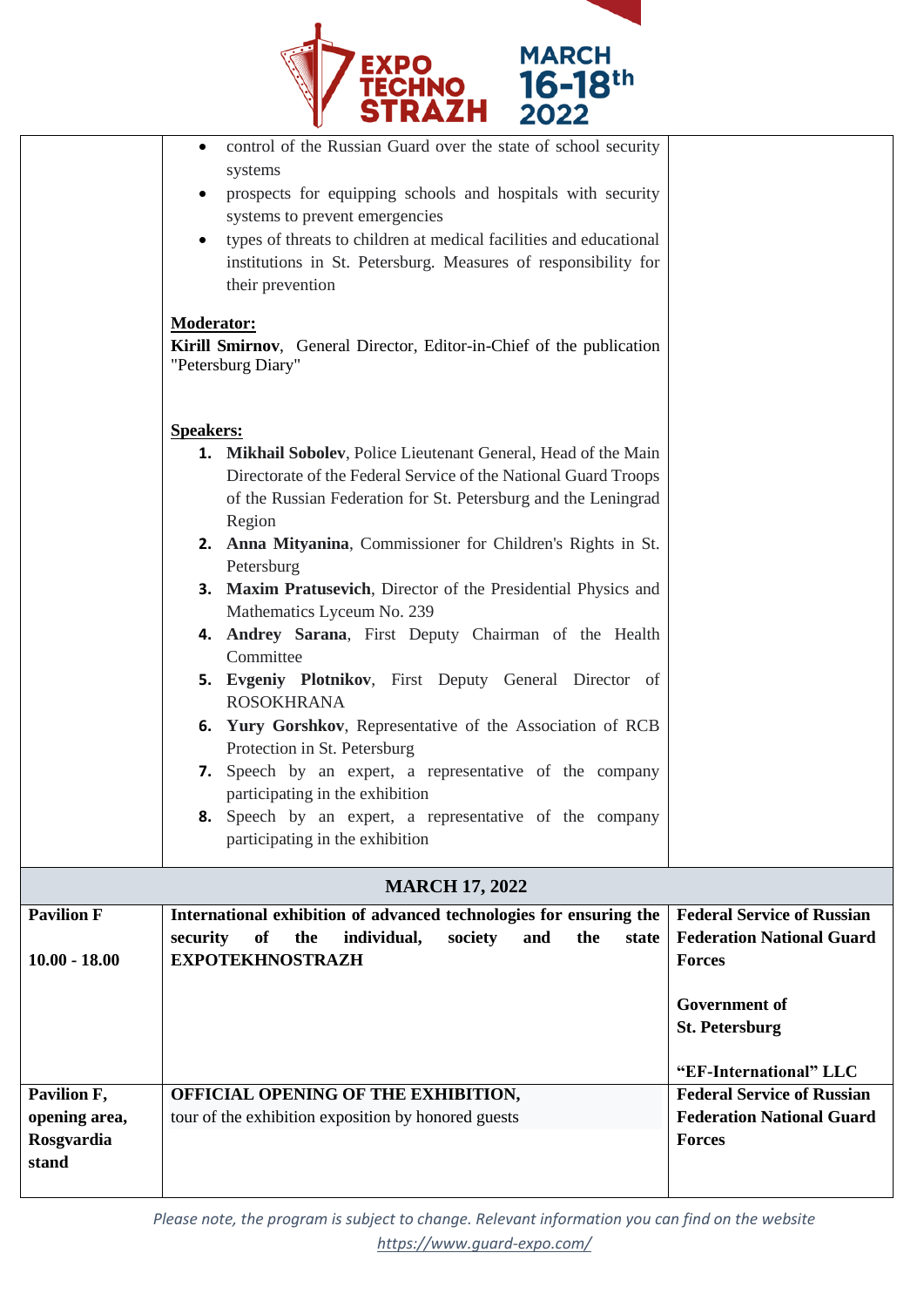

|                     | control of the Russian Guard over the state of school security<br>systems<br>prospects for equipping schools and hospitals with security<br>systems to prevent emergencies<br>types of threats to children at medical facilities and educational<br>institutions in St. Petersburg. Measures of responsibility for<br>their prevention<br><b>Moderator:</b><br>Kirill Smirnov, General Director, Editor-in-Chief of the publication<br>"Petersburg Diary"                                                                                                                                                                                                                                                                                                                                                                                                                     |                                                                         |
|---------------------|-------------------------------------------------------------------------------------------------------------------------------------------------------------------------------------------------------------------------------------------------------------------------------------------------------------------------------------------------------------------------------------------------------------------------------------------------------------------------------------------------------------------------------------------------------------------------------------------------------------------------------------------------------------------------------------------------------------------------------------------------------------------------------------------------------------------------------------------------------------------------------|-------------------------------------------------------------------------|
|                     | <b>Speakers:</b><br><b>1. Mikhail Sobolev, Police Lieutenant General, Head of the Main</b><br>Directorate of the Federal Service of the National Guard Troops<br>of the Russian Federation for St. Petersburg and the Leningrad<br>Region<br>2. Anna Mityanina, Commissioner for Children's Rights in St.<br>Petersburg<br>3. Maxim Pratusevich, Director of the Presidential Physics and<br>Mathematics Lyceum No. 239<br>4. Andrey Sarana, First Deputy Chairman of the Health<br>Committee<br>5. Evgeniy Plotnikov, First Deputy General Director of<br><b>ROSOKHRANA</b><br>6. Yury Gorshkov, Representative of the Association of RCB<br>Protection in St. Petersburg<br>7. Speech by an expert, a representative of the company<br>participating in the exhibition<br><b>8.</b> Speech by an expert, a representative of the company<br>participating in the exhibition |                                                                         |
|                     | <b>MARCH 17, 2022</b>                                                                                                                                                                                                                                                                                                                                                                                                                                                                                                                                                                                                                                                                                                                                                                                                                                                         |                                                                         |
| <b>Pavilion F</b>   | International exhibition of advanced technologies for ensuring the                                                                                                                                                                                                                                                                                                                                                                                                                                                                                                                                                                                                                                                                                                                                                                                                            | <b>Federal Service of Russian</b>                                       |
| $10.00 - 18.00$     | the<br>individual,<br>society<br>the<br>security<br>of<br>and<br>state<br><b>EXPOTEKHNOSTRAZH</b>                                                                                                                                                                                                                                                                                                                                                                                                                                                                                                                                                                                                                                                                                                                                                                             | <b>Federation National Guard</b><br><b>Forces</b>                       |
|                     |                                                                                                                                                                                                                                                                                                                                                                                                                                                                                                                                                                                                                                                                                                                                                                                                                                                                               | <b>Government of</b><br><b>St. Petersburg</b><br>"EF-International" LLC |
| Pavilion F,         | OFFICIAL OPENING OF THE EXHIBITION,                                                                                                                                                                                                                                                                                                                                                                                                                                                                                                                                                                                                                                                                                                                                                                                                                                           | <b>Federal Service of Russian</b>                                       |
| opening area,       | tour of the exhibition exposition by honored guests                                                                                                                                                                                                                                                                                                                                                                                                                                                                                                                                                                                                                                                                                                                                                                                                                           | <b>Federation National Guard</b>                                        |
| Rosgvardia<br>stand |                                                                                                                                                                                                                                                                                                                                                                                                                                                                                                                                                                                                                                                                                                                                                                                                                                                                               | <b>Forces</b>                                                           |

*Please note, the program is subject to change. Relevant information you can find on the website <https://www.guard-expo.com/>*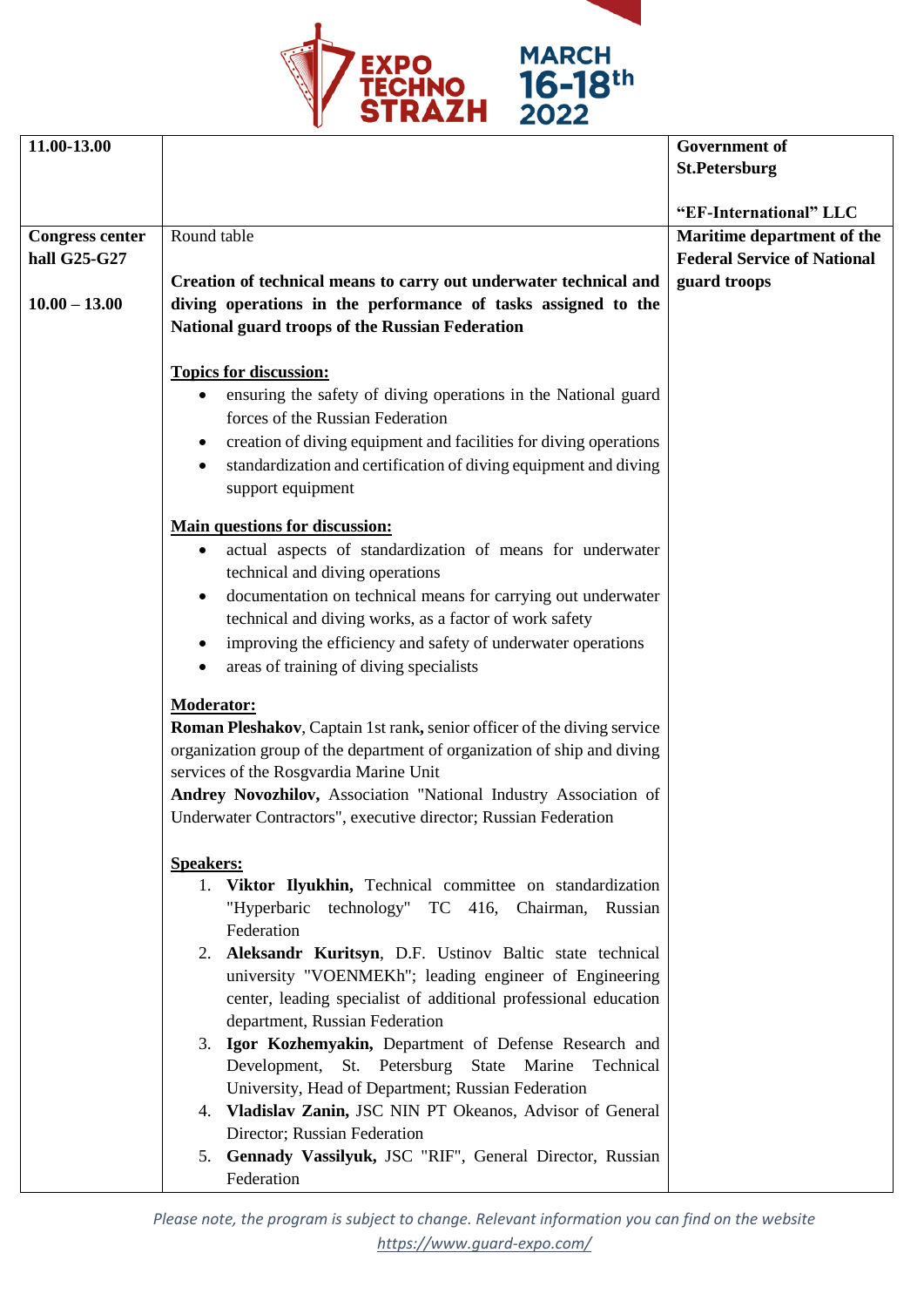



| 11.00-13.00            |                                                                         | <b>Government of</b>               |
|------------------------|-------------------------------------------------------------------------|------------------------------------|
|                        |                                                                         | <b>St.Petersburg</b>               |
|                        |                                                                         |                                    |
|                        |                                                                         | "EF-International" LLC             |
| <b>Congress center</b> | Round table                                                             | Maritime department of the         |
| hall G25-G27           |                                                                         | <b>Federal Service of National</b> |
|                        | Creation of technical means to carry out underwater technical and       | guard troops                       |
| $10.00 - 13.00$        | diving operations in the performance of tasks assigned to the           |                                    |
|                        | National guard troops of the Russian Federation                         |                                    |
|                        |                                                                         |                                    |
|                        | <b>Topics for discussion:</b>                                           |                                    |
|                        | ensuring the safety of diving operations in the National guard<br>٠     |                                    |
|                        | forces of the Russian Federation                                        |                                    |
|                        | creation of diving equipment and facilities for diving operations<br>٠  |                                    |
|                        | standardization and certification of diving equipment and diving<br>٠   |                                    |
|                        | support equipment                                                       |                                    |
|                        |                                                                         |                                    |
|                        | <b>Main questions for discussion:</b>                                   |                                    |
|                        | actual aspects of standardization of means for underwater<br>٠          |                                    |
|                        | technical and diving operations                                         |                                    |
|                        | documentation on technical means for carrying out underwater<br>٠       |                                    |
|                        | technical and diving works, as a factor of work safety                  |                                    |
|                        | improving the efficiency and safety of underwater operations<br>٠       |                                    |
|                        | areas of training of diving specialists<br>٠                            |                                    |
|                        | <b>Moderator:</b>                                                       |                                    |
|                        | Roman Pleshakov, Captain 1st rank, senior officer of the diving service |                                    |
|                        | organization group of the department of organization of ship and diving |                                    |
|                        | services of the Rosgvardia Marine Unit                                  |                                    |
|                        | Andrey Novozhilov, Association "National Industry Association of        |                                    |
|                        | Underwater Contractors", executive director; Russian Federation         |                                    |
|                        |                                                                         |                                    |
|                        | <b>Speakers:</b>                                                        |                                    |
|                        | 1. Viktor Ilyukhin, Technical committee on standardization              |                                    |
|                        | "Hyperbaric technology" TC 416, Chairman, Russian                       |                                    |
|                        | Federation                                                              |                                    |
|                        | 2. Aleksandr Kuritsyn, D.F. Ustinov Baltic state technical              |                                    |
|                        | university "VOENMEKh"; leading engineer of Engineering                  |                                    |
|                        | center, leading specialist of additional professional education         |                                    |
|                        | department, Russian Federation                                          |                                    |
|                        | 3. Igor Kozhemyakin, Department of Defense Research and                 |                                    |
|                        | Development, St. Petersburg State Marine Technical                      |                                    |
|                        | University, Head of Department; Russian Federation                      |                                    |
|                        | 4. Vladislav Zanin, JSC NIN PT Okeanos, Advisor of General              |                                    |
|                        | Director; Russian Federation                                            |                                    |
|                        | 5. Gennady Vassilyuk, JSC "RIF", General Director, Russian              |                                    |
|                        | Federation                                                              |                                    |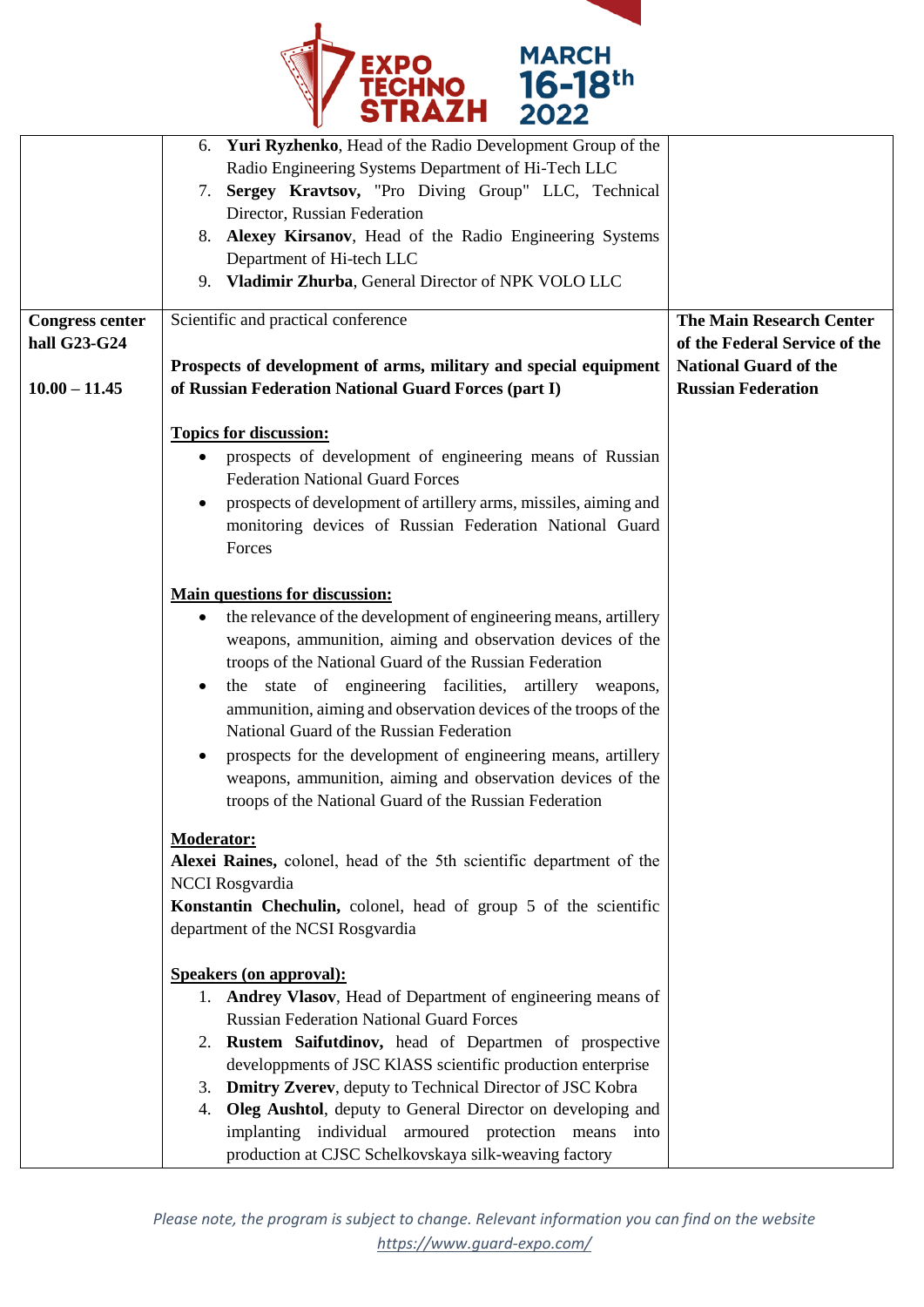

| <b>Congress center</b><br>hall G23-G24 | 6. Yuri Ryzhenko, Head of the Radio Development Group of the<br>Radio Engineering Systems Department of Hi-Tech LLC<br>7. Sergey Kravtsov, "Pro Diving Group" LLC, Technical<br>Director, Russian Federation<br>8. Alexey Kirsanov, Head of the Radio Engineering Systems<br>Department of Hi-tech LLC<br>9. Vladimir Zhurba, General Director of NPK VOLO LLC<br>Scientific and practical conference                                                                                                                                                                                                                  | <b>The Main Research Center</b><br>of the Federal Service of the |
|----------------------------------------|------------------------------------------------------------------------------------------------------------------------------------------------------------------------------------------------------------------------------------------------------------------------------------------------------------------------------------------------------------------------------------------------------------------------------------------------------------------------------------------------------------------------------------------------------------------------------------------------------------------------|------------------------------------------------------------------|
| $10.00 - 11.45$                        | Prospects of development of arms, military and special equipment<br>of Russian Federation National Guard Forces (part I)                                                                                                                                                                                                                                                                                                                                                                                                                                                                                               | <b>National Guard of the</b><br><b>Russian Federation</b>        |
|                                        | <b>Topics for discussion:</b><br>prospects of development of engineering means of Russian<br><b>Federation National Guard Forces</b><br>prospects of development of artillery arms, missiles, aiming and<br>monitoring devices of Russian Federation National Guard<br>Forces                                                                                                                                                                                                                                                                                                                                          |                                                                  |
|                                        | <b>Main questions for discussion:</b><br>the relevance of the development of engineering means, artillery<br>٠<br>weapons, ammunition, aiming and observation devices of the<br>troops of the National Guard of the Russian Federation<br>the state of engineering facilities, artillery weapons,<br>$\bullet$<br>ammunition, aiming and observation devices of the troops of the<br>National Guard of the Russian Federation<br>prospects for the development of engineering means, artillery<br>weapons, ammunition, aiming and observation devices of the<br>troops of the National Guard of the Russian Federation |                                                                  |
|                                        | <b>Moderator:</b><br>Alexei Raines, colonel, head of the 5th scientific department of the<br><b>NCCI</b> Rosgvardia<br>Konstantin Chechulin, colonel, head of group 5 of the scientific<br>department of the NCSI Rosgvardia                                                                                                                                                                                                                                                                                                                                                                                           |                                                                  |
|                                        | <b>Speakers (on approval):</b><br>1. Andrey Vlasov, Head of Department of engineering means of<br><b>Russian Federation National Guard Forces</b><br>2. Rustem Saifutdinov, head of Departmen of prospective<br>developpments of JSC KIASS scientific production enterprise<br>3. Dmitry Zverev, deputy to Technical Director of JSC Kobra<br>4. Oleg Aushtol, deputy to General Director on developing and<br>implanting individual armoured protection means into<br>production at CJSC Schelkovskaya silk-weaving factory                                                                                           |                                                                  |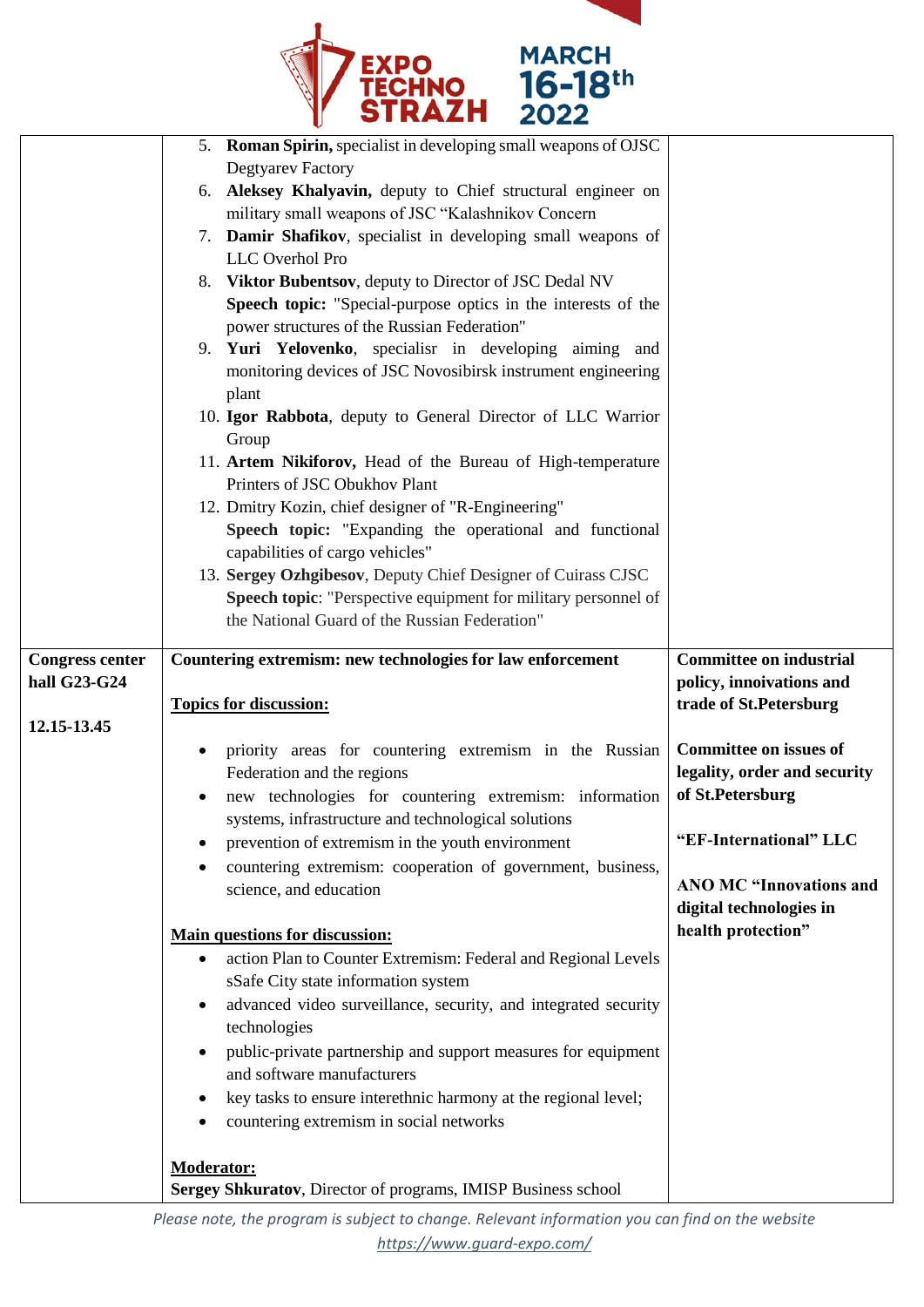

|                        | 5. Roman Spirin, specialist in developing small weapons of OJSC<br><b>Degtyarev Factory</b><br>6. Aleksey Khalyavin, deputy to Chief structural engineer on<br>military small weapons of JSC "Kalashnikov Concern<br>7. Damir Shafikov, specialist in developing small weapons of<br>LLC Overhol Pro<br>8. Viktor Bubentsov, deputy to Director of JSC Dedal NV<br>Speech topic: "Special-purpose optics in the interests of the<br>power structures of the Russian Federation"<br>9. Yuri Yelovenko, specialisr in developing aiming and<br>monitoring devices of JSC Novosibirsk instrument engineering<br>plant<br>10. Igor Rabbota, deputy to General Director of LLC Warrior<br>Group<br>11. Artem Nikiforov, Head of the Bureau of High-temperature<br>Printers of JSC Obukhov Plant<br>12. Dmitry Kozin, chief designer of "R-Engineering"<br>Speech topic: "Expanding the operational and functional<br>capabilities of cargo vehicles" |                                                                                                             |
|------------------------|-------------------------------------------------------------------------------------------------------------------------------------------------------------------------------------------------------------------------------------------------------------------------------------------------------------------------------------------------------------------------------------------------------------------------------------------------------------------------------------------------------------------------------------------------------------------------------------------------------------------------------------------------------------------------------------------------------------------------------------------------------------------------------------------------------------------------------------------------------------------------------------------------------------------------------------------------|-------------------------------------------------------------------------------------------------------------|
|                        | 13. Sergey Ozhgibesov, Deputy Chief Designer of Cuirass CJSC                                                                                                                                                                                                                                                                                                                                                                                                                                                                                                                                                                                                                                                                                                                                                                                                                                                                                    |                                                                                                             |
|                        | Speech topic: "Perspective equipment for military personnel of<br>the National Guard of the Russian Federation"                                                                                                                                                                                                                                                                                                                                                                                                                                                                                                                                                                                                                                                                                                                                                                                                                                 |                                                                                                             |
| <b>Congress center</b> | Countering extremism: new technologies for law enforcement                                                                                                                                                                                                                                                                                                                                                                                                                                                                                                                                                                                                                                                                                                                                                                                                                                                                                      | <b>Committee on industrial</b>                                                                              |
| hall G23-G24           |                                                                                                                                                                                                                                                                                                                                                                                                                                                                                                                                                                                                                                                                                                                                                                                                                                                                                                                                                 | policy, innoivations and                                                                                    |
|                        | <b>Topics for discussion:</b>                                                                                                                                                                                                                                                                                                                                                                                                                                                                                                                                                                                                                                                                                                                                                                                                                                                                                                                   | trade of St.Petersburg                                                                                      |
| 12.15-13.45            |                                                                                                                                                                                                                                                                                                                                                                                                                                                                                                                                                                                                                                                                                                                                                                                                                                                                                                                                                 |                                                                                                             |
|                        | priority areas for countering extremism in the Russian<br>Federation and the regions<br>new technologies for countering extremism: information<br>systems, infrastructure and technological solutions<br>prevention of extremism in the youth environment                                                                                                                                                                                                                                                                                                                                                                                                                                                                                                                                                                                                                                                                                       | <b>Committee on issues of</b><br>legality, order and security<br>of St.Petersburg<br>"EF-International" LLC |
|                        | countering extremism: cooperation of government, business,<br>science, and education                                                                                                                                                                                                                                                                                                                                                                                                                                                                                                                                                                                                                                                                                                                                                                                                                                                            | <b>ANO MC "Innovations and</b><br>digital technologies in                                                   |
|                        | <b>Main questions for discussion:</b>                                                                                                                                                                                                                                                                                                                                                                                                                                                                                                                                                                                                                                                                                                                                                                                                                                                                                                           | health protection"                                                                                          |
|                        | action Plan to Counter Extremism: Federal and Regional Levels<br>$\bullet$<br>sSafe City state information system<br>advanced video surveillance, security, and integrated security<br>technologies<br>public-private partnership and support measures for equipment<br>and software manufacturers<br>key tasks to ensure interethnic harmony at the regional level;<br>countering extremism in social networks<br><b>Moderator:</b>                                                                                                                                                                                                                                                                                                                                                                                                                                                                                                            |                                                                                                             |
|                        | Sergey Shkuratov, Director of programs, IMISP Business school                                                                                                                                                                                                                                                                                                                                                                                                                                                                                                                                                                                                                                                                                                                                                                                                                                                                                   |                                                                                                             |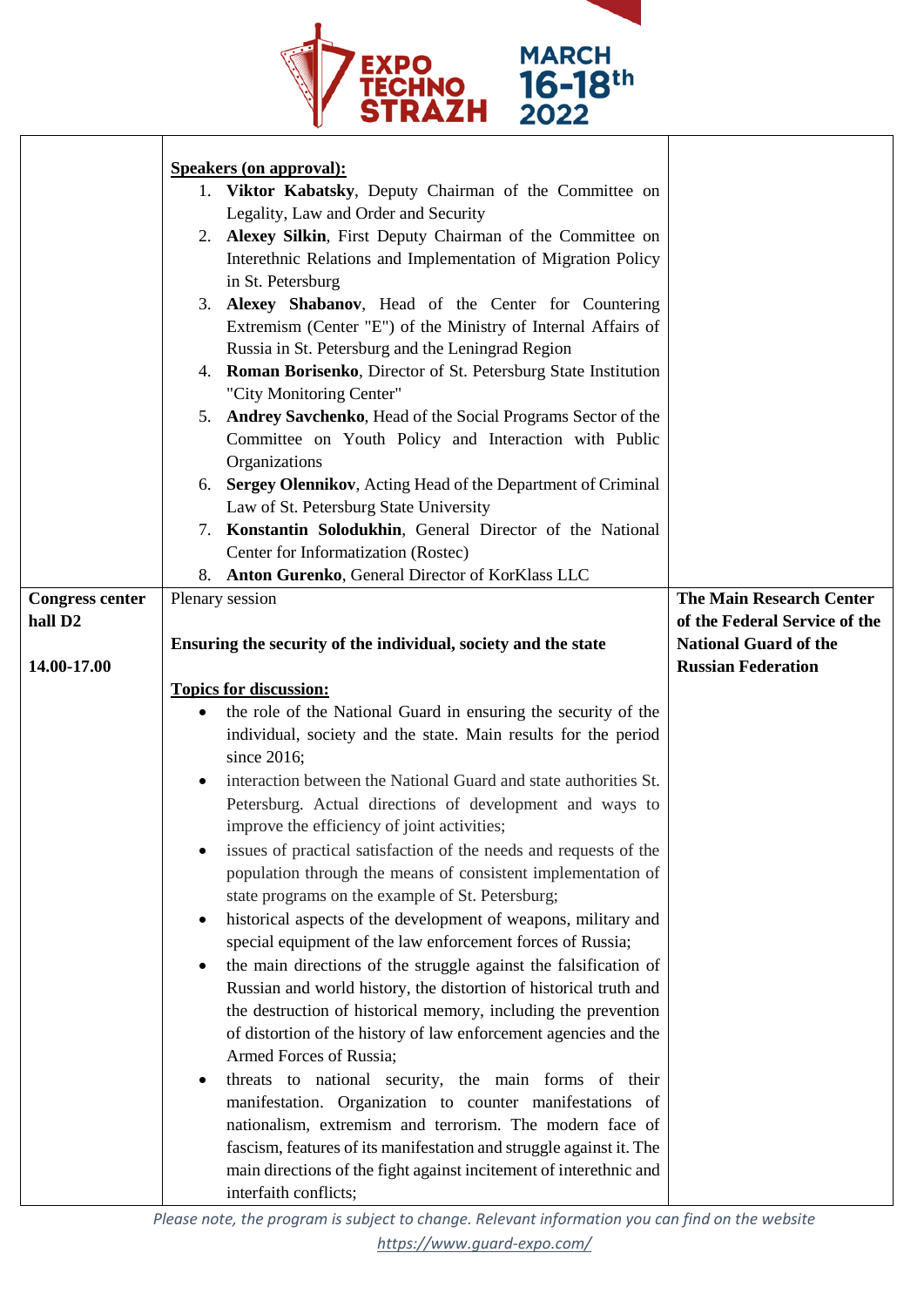

|                        | <b>Speakers (on approval):</b>                                        |                                 |
|------------------------|-----------------------------------------------------------------------|---------------------------------|
|                        | 1. Viktor Kabatsky, Deputy Chairman of the Committee on               |                                 |
|                        | Legality, Law and Order and Security                                  |                                 |
|                        | 2. Alexey Silkin, First Deputy Chairman of the Committee on           |                                 |
|                        | Interethnic Relations and Implementation of Migration Policy          |                                 |
|                        | in St. Petersburg                                                     |                                 |
|                        | 3. Alexey Shabanov, Head of the Center for Countering                 |                                 |
|                        | Extremism (Center "E") of the Ministry of Internal Affairs of         |                                 |
|                        | Russia in St. Petersburg and the Leningrad Region                     |                                 |
|                        | 4. Roman Borisenko, Director of St. Petersburg State Institution      |                                 |
|                        | "City Monitoring Center"                                              |                                 |
|                        | 5. Andrey Savchenko, Head of the Social Programs Sector of the        |                                 |
|                        | Committee on Youth Policy and Interaction with Public                 |                                 |
|                        | Organizations                                                         |                                 |
|                        | 6. Sergey Olennikov, Acting Head of the Department of Criminal        |                                 |
|                        | Law of St. Petersburg State University                                |                                 |
|                        | 7. Konstantin Solodukhin, General Director of the National            |                                 |
|                        | Center for Informatization (Rostec)                                   |                                 |
|                        | 8. Anton Gurenko, General Director of KorKlass LLC                    |                                 |
| <b>Congress center</b> | Plenary session                                                       | <b>The Main Research Center</b> |
| hall D <sub>2</sub>    |                                                                       | of the Federal Service of the   |
|                        | Ensuring the security of the individual, society and the state        | <b>National Guard of the</b>    |
| 14.00-17.00            |                                                                       | <b>Russian Federation</b>       |
|                        |                                                                       |                                 |
|                        | <b>Topics for discussion:</b>                                         |                                 |
|                        | the role of the National Guard in ensuring the security of the        |                                 |
|                        | individual, society and the state. Main results for the period        |                                 |
|                        | since 2016;                                                           |                                 |
|                        | interaction between the National Guard and state authorities St.<br>٠ |                                 |
|                        | Petersburg. Actual directions of development and ways to              |                                 |
|                        | improve the efficiency of joint activities;                           |                                 |
|                        | issues of practical satisfaction of the needs and requests of the     |                                 |
|                        | population through the means of consistent implementation of          |                                 |
|                        | state programs on the example of St. Petersburg;                      |                                 |
|                        | historical aspects of the development of weapons, military and<br>٠   |                                 |
|                        | special equipment of the law enforcement forces of Russia;            |                                 |
|                        | the main directions of the struggle against the falsification of      |                                 |
|                        | Russian and world history, the distortion of historical truth and     |                                 |
|                        | the destruction of historical memory, including the prevention        |                                 |
|                        | of distortion of the history of law enforcement agencies and the      |                                 |
|                        | Armed Forces of Russia;                                               |                                 |
|                        | threats to national security, the main forms of their<br>٠            |                                 |
|                        | manifestation. Organization to counter manifestations of              |                                 |
|                        | nationalism, extremism and terrorism. The modern face of              |                                 |
|                        | fascism, features of its manifestation and struggle against it. The   |                                 |
|                        | main directions of the fight against incitement of interethnic and    |                                 |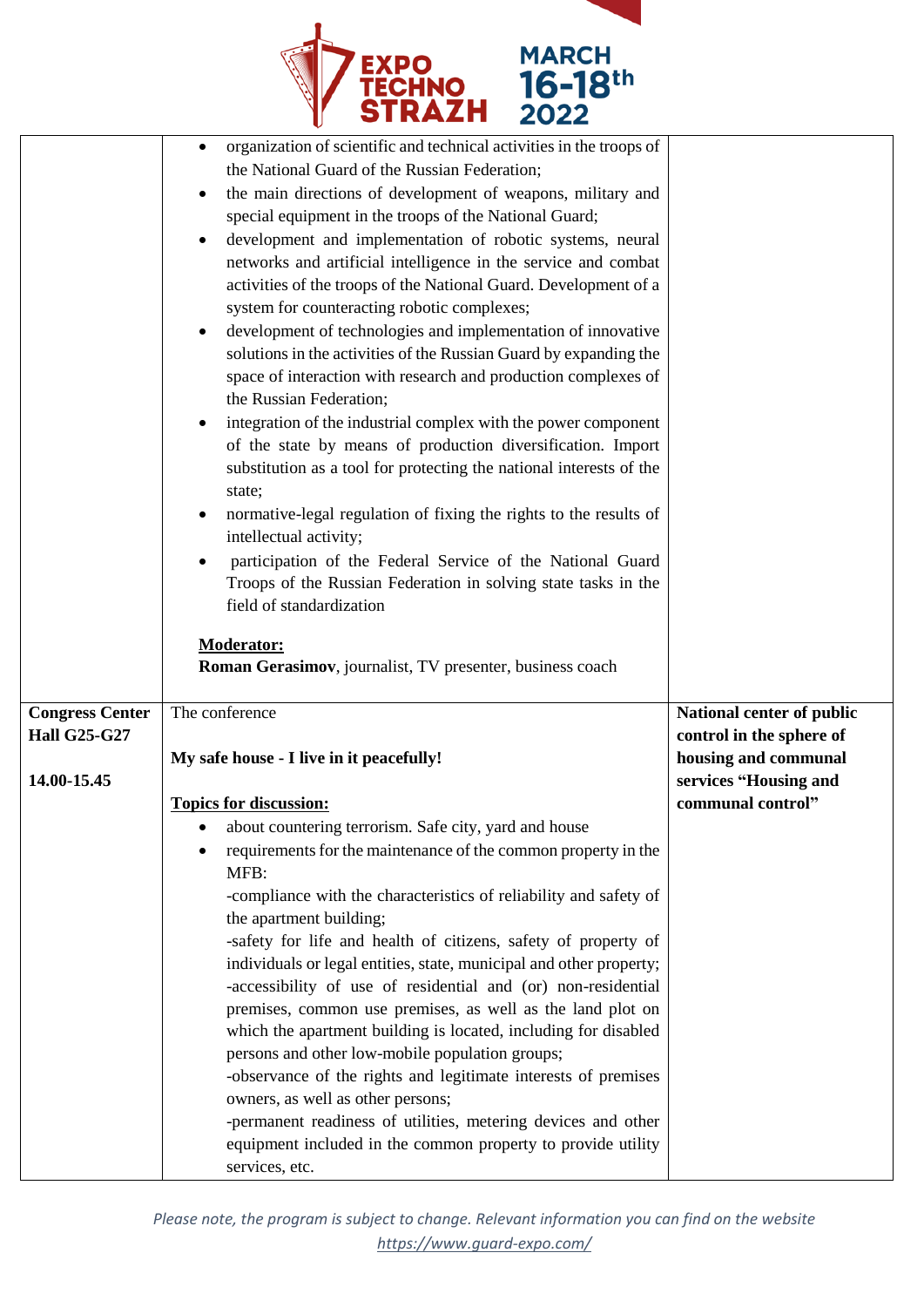

|                                                              | organization of scientific and technical activities in the troops of<br>٠<br>the National Guard of the Russian Federation;<br>the main directions of development of weapons, military and<br>٠<br>special equipment in the troops of the National Guard;<br>development and implementation of robotic systems, neural<br>networks and artificial intelligence in the service and combat<br>activities of the troops of the National Guard. Development of a<br>system for counteracting robotic complexes;<br>development of technologies and implementation of innovative<br>solutions in the activities of the Russian Guard by expanding the<br>space of interaction with research and production complexes of<br>the Russian Federation;<br>integration of the industrial complex with the power component<br>of the state by means of production diversification. Import<br>substitution as a tool for protecting the national interests of the<br>state;<br>normative-legal regulation of fixing the rights to the results of<br>intellectual activity;<br>participation of the Federal Service of the National Guard<br>Troops of the Russian Federation in solving state tasks in the<br>field of standardization<br><b>Moderator:</b><br>Roman Gerasimov, journalist, TV presenter, business coach |                                                                                                        |
|--------------------------------------------------------------|-------------------------------------------------------------------------------------------------------------------------------------------------------------------------------------------------------------------------------------------------------------------------------------------------------------------------------------------------------------------------------------------------------------------------------------------------------------------------------------------------------------------------------------------------------------------------------------------------------------------------------------------------------------------------------------------------------------------------------------------------------------------------------------------------------------------------------------------------------------------------------------------------------------------------------------------------------------------------------------------------------------------------------------------------------------------------------------------------------------------------------------------------------------------------------------------------------------------------------------------------------------------------------------------------------------|--------------------------------------------------------------------------------------------------------|
| <b>Congress Center</b><br><b>Hall G25-G27</b><br>14.00-15.45 | The conference<br>My safe house - I live in it peacefully!                                                                                                                                                                                                                                                                                                                                                                                                                                                                                                                                                                                                                                                                                                                                                                                                                                                                                                                                                                                                                                                                                                                                                                                                                                                  | National center of public<br>control in the sphere of<br>housing and communal<br>services "Housing and |
|                                                              | <b>Topics for discussion:</b>                                                                                                                                                                                                                                                                                                                                                                                                                                                                                                                                                                                                                                                                                                                                                                                                                                                                                                                                                                                                                                                                                                                                                                                                                                                                               | communal control"                                                                                      |
|                                                              | about countering terrorism. Safe city, yard and house                                                                                                                                                                                                                                                                                                                                                                                                                                                                                                                                                                                                                                                                                                                                                                                                                                                                                                                                                                                                                                                                                                                                                                                                                                                       |                                                                                                        |
|                                                              | requirements for the maintenance of the common property in the<br>MFB:<br>-compliance with the characteristics of reliability and safety of                                                                                                                                                                                                                                                                                                                                                                                                                                                                                                                                                                                                                                                                                                                                                                                                                                                                                                                                                                                                                                                                                                                                                                 |                                                                                                        |
|                                                              | the apartment building;                                                                                                                                                                                                                                                                                                                                                                                                                                                                                                                                                                                                                                                                                                                                                                                                                                                                                                                                                                                                                                                                                                                                                                                                                                                                                     |                                                                                                        |
|                                                              | -safety for life and health of citizens, safety of property of<br>individuals or legal entities, state, municipal and other property;<br>-accessibility of use of residential and (or) non-residential                                                                                                                                                                                                                                                                                                                                                                                                                                                                                                                                                                                                                                                                                                                                                                                                                                                                                                                                                                                                                                                                                                      |                                                                                                        |
|                                                              | premises, common use premises, as well as the land plot on<br>which the apartment building is located, including for disabled<br>persons and other low-mobile population groups;                                                                                                                                                                                                                                                                                                                                                                                                                                                                                                                                                                                                                                                                                                                                                                                                                                                                                                                                                                                                                                                                                                                            |                                                                                                        |
|                                                              | -observance of the rights and legitimate interests of premises<br>owners, as well as other persons;<br>-permanent readiness of utilities, metering devices and other                                                                                                                                                                                                                                                                                                                                                                                                                                                                                                                                                                                                                                                                                                                                                                                                                                                                                                                                                                                                                                                                                                                                        |                                                                                                        |
|                                                              | equipment included in the common property to provide utility                                                                                                                                                                                                                                                                                                                                                                                                                                                                                                                                                                                                                                                                                                                                                                                                                                                                                                                                                                                                                                                                                                                                                                                                                                                |                                                                                                        |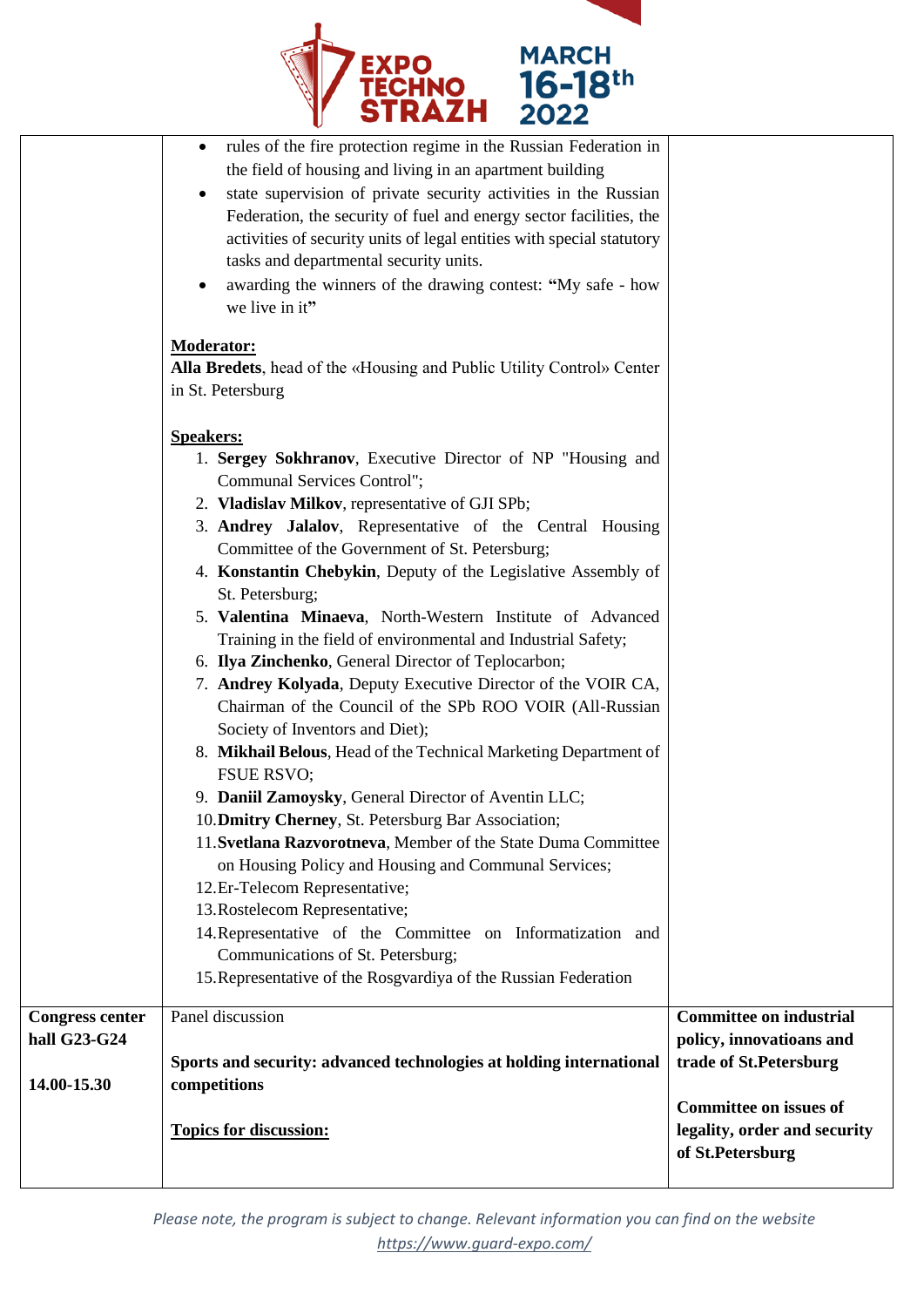

| <b>Congress center</b><br>hall G23-G24<br>14.00-15.30 | Panel discussion<br>Sports and security: advanced technologies at holding international<br>competitions<br><b>Topics for discussion:</b>                                                                                                                                                                                                                                                                                                                                                                                                                                                                                                                                                                                                                                                                                                                                                                                                                                                                                                                                                                                                                                                                                                                                                                                                                                                                                                                                                                                                                                                                                                                                                                                                                                                                                                                                                                      | <b>Committee on industrial</b><br>policy, innovatioans and<br>trade of St.Petersburg<br><b>Committee on issues of</b><br>legality, order and security<br>of St.Petersburg |
|-------------------------------------------------------|---------------------------------------------------------------------------------------------------------------------------------------------------------------------------------------------------------------------------------------------------------------------------------------------------------------------------------------------------------------------------------------------------------------------------------------------------------------------------------------------------------------------------------------------------------------------------------------------------------------------------------------------------------------------------------------------------------------------------------------------------------------------------------------------------------------------------------------------------------------------------------------------------------------------------------------------------------------------------------------------------------------------------------------------------------------------------------------------------------------------------------------------------------------------------------------------------------------------------------------------------------------------------------------------------------------------------------------------------------------------------------------------------------------------------------------------------------------------------------------------------------------------------------------------------------------------------------------------------------------------------------------------------------------------------------------------------------------------------------------------------------------------------------------------------------------------------------------------------------------------------------------------------------------|---------------------------------------------------------------------------------------------------------------------------------------------------------------------------|
|                                                       | rules of the fire protection regime in the Russian Federation in<br>٠<br>the field of housing and living in an apartment building<br>state supervision of private security activities in the Russian<br>Federation, the security of fuel and energy sector facilities, the<br>activities of security units of legal entities with special statutory<br>tasks and departmental security units.<br>awarding the winners of the drawing contest: "My safe - how<br>we live in it"<br><b>Moderator:</b><br><b>Alla Bredets</b> , head of the «Housing and Public Utility Control» Center<br>in St. Petersburg<br><b>Speakers:</b><br>1. Sergey Sokhranov, Executive Director of NP "Housing and<br>Communal Services Control";<br>2. Vladislav Milkov, representative of GJI SPb;<br>3. Andrey Jalalov, Representative of the Central Housing<br>Committee of the Government of St. Petersburg;<br>4. Konstantin Chebykin, Deputy of the Legislative Assembly of<br>St. Petersburg;<br>5. Valentina Minaeva, North-Western Institute of Advanced<br>Training in the field of environmental and Industrial Safety;<br>6. Ilya Zinchenko, General Director of Teplocarbon;<br>7. Andrey Kolyada, Deputy Executive Director of the VOIR CA,<br>Chairman of the Council of the SPb ROO VOIR (All-Russian<br>Society of Inventors and Diet);<br>8. Mikhail Belous, Head of the Technical Marketing Department of<br><b>FSUE RSVO;</b><br>9. Daniil Zamoysky, General Director of Aventin LLC;<br>10. Dmitry Cherney, St. Petersburg Bar Association;<br>11. Svetlana Razvorotneva, Member of the State Duma Committee<br>on Housing Policy and Housing and Communal Services;<br>12.Er-Telecom Representative;<br>13. Rostelecom Representative;<br>14. Representative of the Committee on Informatization and<br>Communications of St. Petersburg;<br>15. Representative of the Rosgvardiya of the Russian Federation |                                                                                                                                                                           |

*Please note, the program is subject to change. Relevant information you can find on the website <https://www.guard-expo.com/>*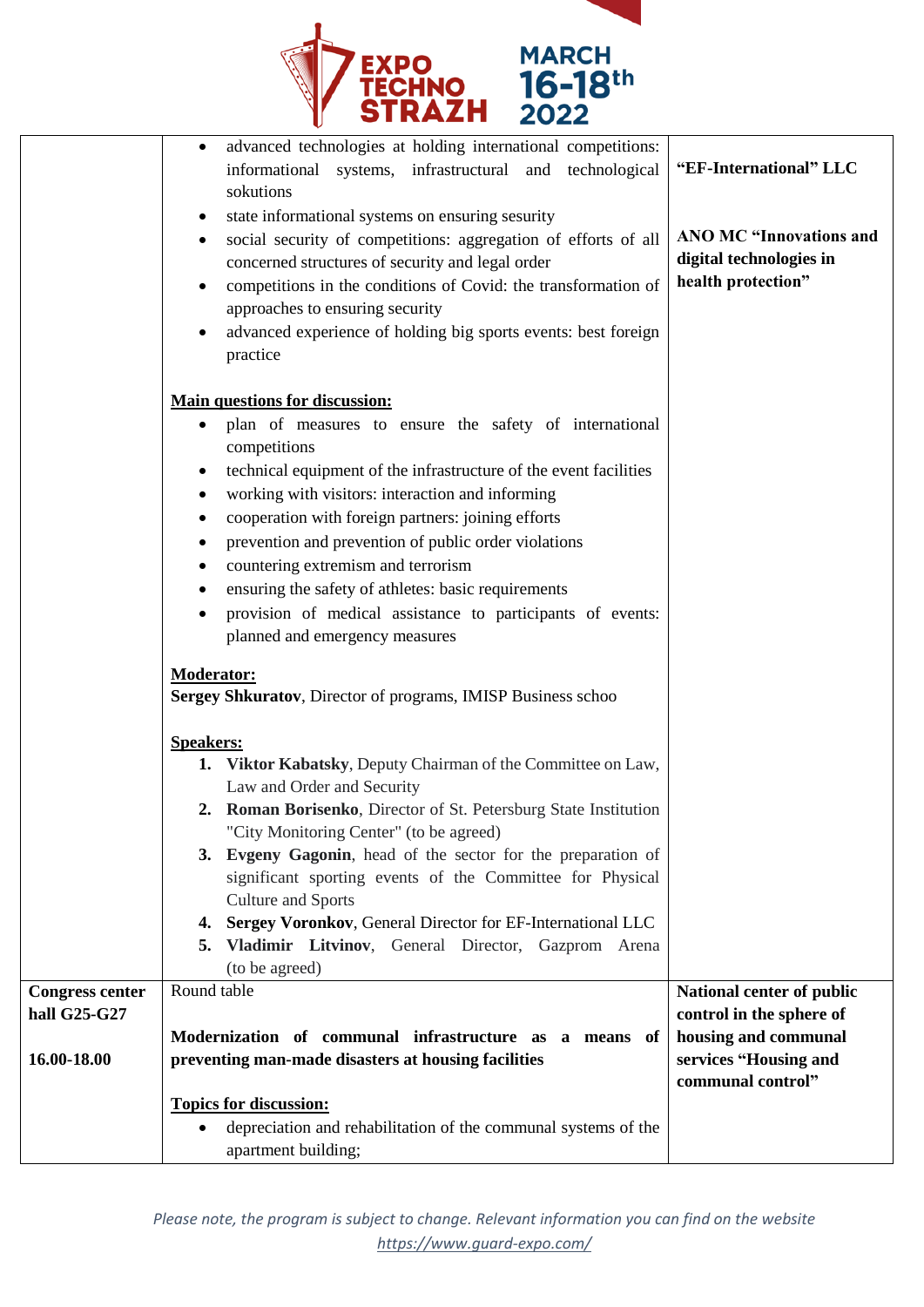

|                        | advanced technologies at holding international competitions:<br>٠<br>informational systems, infrastructural and technological | "EF-International" LLC         |
|------------------------|-------------------------------------------------------------------------------------------------------------------------------|--------------------------------|
|                        | sokutions                                                                                                                     |                                |
|                        | state informational systems on ensuring sesurity                                                                              |                                |
|                        | social security of competitions: aggregation of efforts of all                                                                | <b>ANO MC "Innovations and</b> |
|                        | concerned structures of security and legal order                                                                              | digital technologies in        |
|                        | competitions in the conditions of Covid: the transformation of                                                                | health protection"             |
|                        | approaches to ensuring security                                                                                               |                                |
|                        | advanced experience of holding big sports events: best foreign                                                                |                                |
|                        | practice                                                                                                                      |                                |
|                        |                                                                                                                               |                                |
|                        | <b>Main questions for discussion:</b>                                                                                         |                                |
|                        | plan of measures to ensure the safety of international                                                                        |                                |
|                        | competitions                                                                                                                  |                                |
|                        | technical equipment of the infrastructure of the event facilities                                                             |                                |
|                        | working with visitors: interaction and informing                                                                              |                                |
|                        | cooperation with foreign partners: joining efforts                                                                            |                                |
|                        | prevention and prevention of public order violations                                                                          |                                |
|                        | countering extremism and terrorism<br>٠                                                                                       |                                |
|                        | ensuring the safety of athletes: basic requirements                                                                           |                                |
|                        | provision of medical assistance to participants of events:                                                                    |                                |
|                        | planned and emergency measures                                                                                                |                                |
|                        | <b>Moderator:</b>                                                                                                             |                                |
|                        | Sergey Shkuratov, Director of programs, IMISP Business schoo                                                                  |                                |
|                        |                                                                                                                               |                                |
|                        | <b>Speakers:</b>                                                                                                              |                                |
|                        | 1. Viktor Kabatsky, Deputy Chairman of the Committee on Law,                                                                  |                                |
|                        | Law and Order and Security                                                                                                    |                                |
|                        | 2. Roman Borisenko, Director of St. Petersburg State Institution                                                              |                                |
|                        | "City Monitoring Center" (to be agreed)<br>3. Evgeny Gagonin, head of the sector for the preparation of                       |                                |
|                        | significant sporting events of the Committee for Physical                                                                     |                                |
|                        | <b>Culture and Sports</b>                                                                                                     |                                |
|                        | 4. Sergey Voronkov, General Director for EF-International LLC                                                                 |                                |
|                        | 5. Vladimir Litvinov, General Director, Gazprom Arena                                                                         |                                |
|                        | (to be agreed)                                                                                                                |                                |
| <b>Congress center</b> | Round table                                                                                                                   | National center of public      |
| hall G25-G27           |                                                                                                                               | control in the sphere of       |
|                        | Modernization of communal infrastructure as a means of                                                                        | housing and communal           |
| 16.00-18.00            | preventing man-made disasters at housing facilities                                                                           | services "Housing and          |
|                        |                                                                                                                               | communal control"              |
|                        | <b>Topics for discussion:</b>                                                                                                 |                                |
|                        | depreciation and rehabilitation of the communal systems of the<br>$\bullet$                                                   |                                |
|                        | apartment building;                                                                                                           |                                |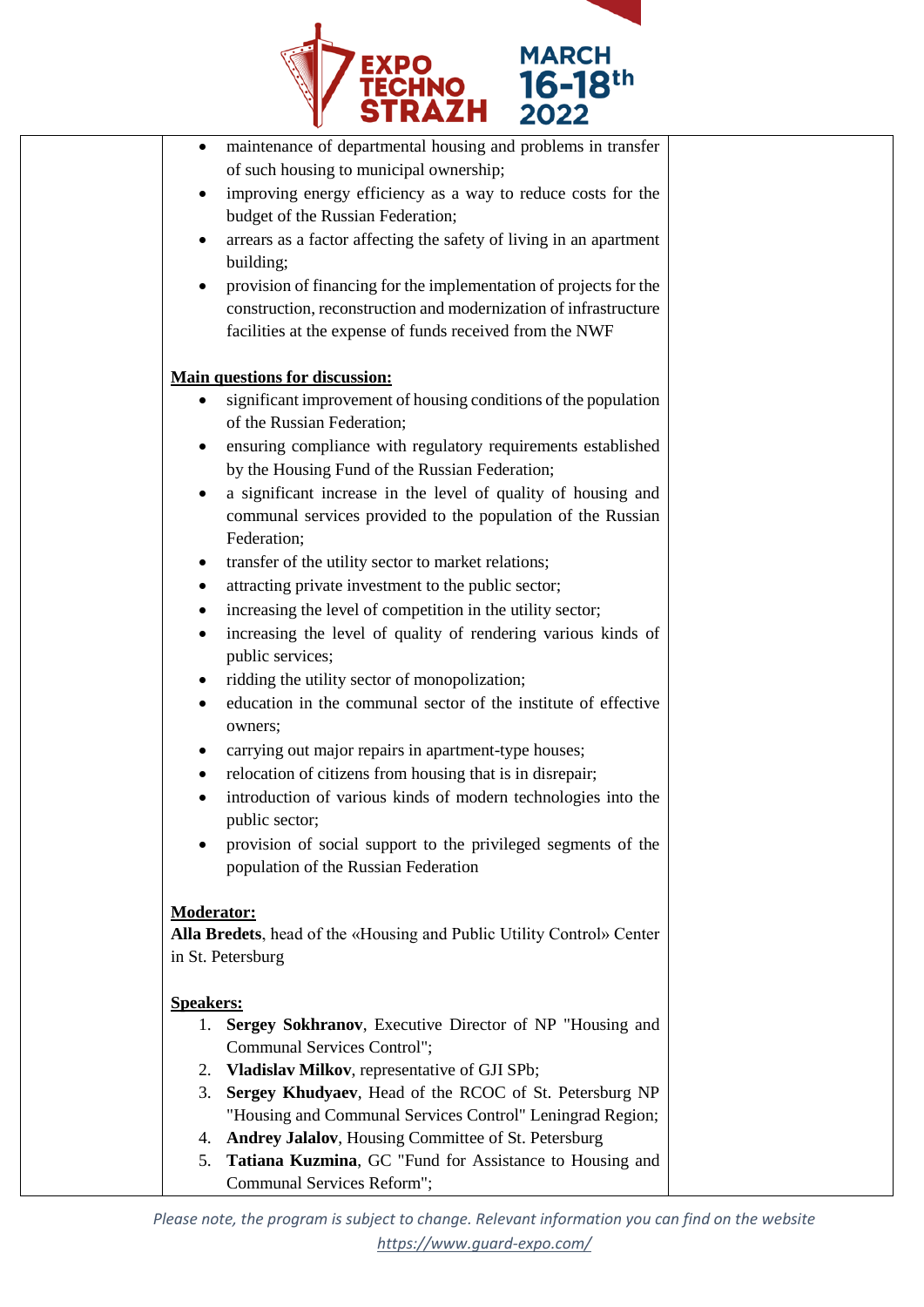

| ٠                | maintenance of departmental housing and problems in transfer          |  |
|------------------|-----------------------------------------------------------------------|--|
|                  | of such housing to municipal ownership;                               |  |
| $\bullet$        | improving energy efficiency as a way to reduce costs for the          |  |
|                  | budget of the Russian Federation;                                     |  |
| $\bullet$        | arrears as a factor affecting the safety of living in an apartment    |  |
|                  | building;                                                             |  |
| $\bullet$        | provision of financing for the implementation of projects for the     |  |
|                  | construction, reconstruction and modernization of infrastructure      |  |
|                  | facilities at the expense of funds received from the NWF              |  |
|                  | <b>Main questions for discussion:</b>                                 |  |
|                  | significant improvement of housing conditions of the population       |  |
|                  | of the Russian Federation;                                            |  |
|                  | ensuring compliance with regulatory requirements established          |  |
|                  | by the Housing Fund of the Russian Federation;                        |  |
| $\bullet$        | a significant increase in the level of quality of housing and         |  |
|                  | communal services provided to the population of the Russian           |  |
|                  | Federation;                                                           |  |
| ٠                | transfer of the utility sector to market relations;                   |  |
| ٠                | attracting private investment to the public sector;                   |  |
|                  | increasing the level of competition in the utility sector;            |  |
|                  | increasing the level of quality of rendering various kinds of         |  |
|                  | public services;                                                      |  |
|                  | ridding the utility sector of monopolization;                         |  |
|                  | education in the communal sector of the institute of effective        |  |
|                  | owners;                                                               |  |
| ٠                | carrying out major repairs in apartment-type houses;                  |  |
| ٠                | relocation of citizens from housing that is in disrepair;             |  |
| $\bullet$        | introduction of various kinds of modern technologies into the         |  |
|                  | public sector;                                                        |  |
|                  | provision of social support to the privileged segments of the         |  |
|                  | population of the Russian Federation                                  |  |
|                  |                                                                       |  |
| Moderator:       | Alla Bredets, head of the «Housing and Public Utility Control» Center |  |
|                  | in St. Petersburg                                                     |  |
|                  |                                                                       |  |
| <b>Speakers:</b> |                                                                       |  |
| 1.               | Sergey Sokhranov, Executive Director of NP "Housing and               |  |
|                  | Communal Services Control";                                           |  |
|                  | 2. Vladislav Milkov, representative of GJI SPb;                       |  |
| 3.               | Sergey Khudyaev, Head of the RCOC of St. Petersburg NP                |  |
|                  | "Housing and Communal Services Control" Leningrad Region;             |  |
| 4.               | Andrey Jalalov, Housing Committee of St. Petersburg                   |  |
| 5.               | Tatiana Kuzmina, GC "Fund for Assistance to Housing and               |  |
|                  | Communal Services Reform";                                            |  |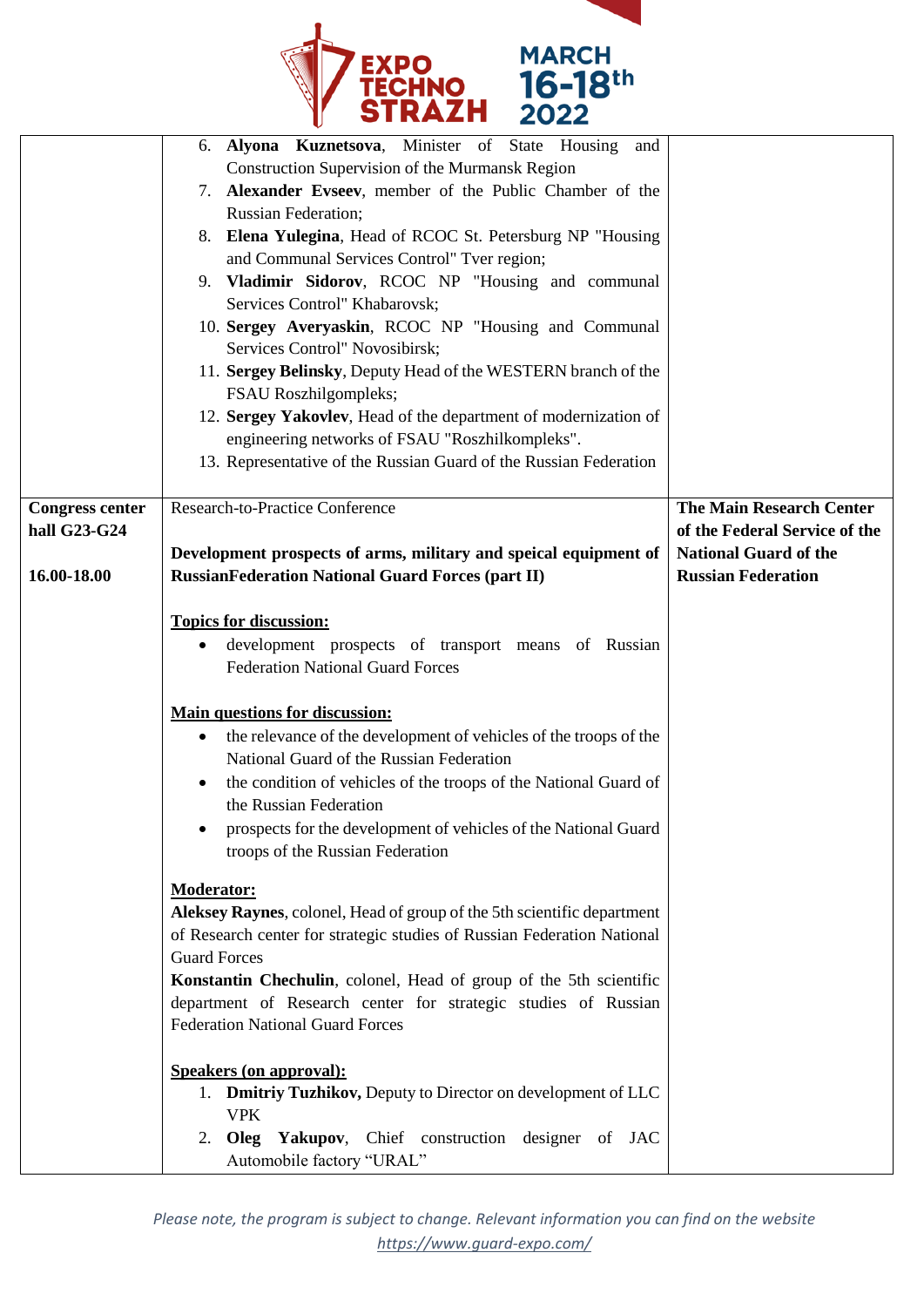

|                                        | 6. Alyona Kuznetsova, Minister of State Housing<br>and<br>Construction Supervision of the Murmansk Region<br>7. Alexander Evseev, member of the Public Chamber of the<br><b>Russian Federation;</b><br>8. Elena Yulegina, Head of RCOC St. Petersburg NP "Housing<br>and Communal Services Control" Tver region;                                                                  |                                                                  |
|----------------------------------------|-----------------------------------------------------------------------------------------------------------------------------------------------------------------------------------------------------------------------------------------------------------------------------------------------------------------------------------------------------------------------------------|------------------------------------------------------------------|
|                                        | 9. Vladimir Sidorov, RCOC NP "Housing and communal<br>Services Control" Khabarovsk;<br>10. Sergey Averyaskin, RCOC NP "Housing and Communal                                                                                                                                                                                                                                       |                                                                  |
|                                        | Services Control" Novosibirsk;<br>11. Sergey Belinsky, Deputy Head of the WESTERN branch of the<br>FSAU Roszhilgompleks;                                                                                                                                                                                                                                                          |                                                                  |
|                                        | 12. Sergey Yakovlev, Head of the department of modernization of<br>engineering networks of FSAU "Roszhilkompleks".<br>13. Representative of the Russian Guard of the Russian Federation                                                                                                                                                                                           |                                                                  |
| <b>Congress center</b><br>hall G23-G24 | Research-to-Practice Conference                                                                                                                                                                                                                                                                                                                                                   | <b>The Main Research Center</b><br>of the Federal Service of the |
| 16.00-18.00                            | Development prospects of arms, military and speical equipment of<br><b>RussianFederation National Guard Forces (part II)</b>                                                                                                                                                                                                                                                      | <b>National Guard of the</b><br><b>Russian Federation</b>        |
|                                        | <b>Topics for discussion:</b><br>development prospects of transport means of Russian<br>$\bullet$<br><b>Federation National Guard Forces</b>                                                                                                                                                                                                                                      |                                                                  |
|                                        | <b>Main questions for discussion:</b><br>the relevance of the development of vehicles of the troops of the<br>$\bullet$<br>National Guard of the Russian Federation<br>the condition of vehicles of the troops of the National Guard of<br>٠<br>the Russian Federation<br>prospects for the development of vehicles of the National Guard<br>troops of the Russian Federation     |                                                                  |
|                                        | <b>Moderator:</b><br>Aleksey Raynes, colonel, Head of group of the 5th scientific department<br>of Research center for strategic studies of Russian Federation National<br><b>Guard Forces</b><br>Konstantin Chechulin, colonel, Head of group of the 5th scientific<br>department of Research center for strategic studies of Russian<br><b>Federation National Guard Forces</b> |                                                                  |
|                                        | <b>Speakers (on approval):</b><br>1. <b>Dmitriy Tuzhikov, Deputy to Director on development of LLC</b><br><b>VPK</b><br>Oleg Yakupov, Chief construction designer of JAC<br>2.<br>Automobile factory "URAL"                                                                                                                                                                       |                                                                  |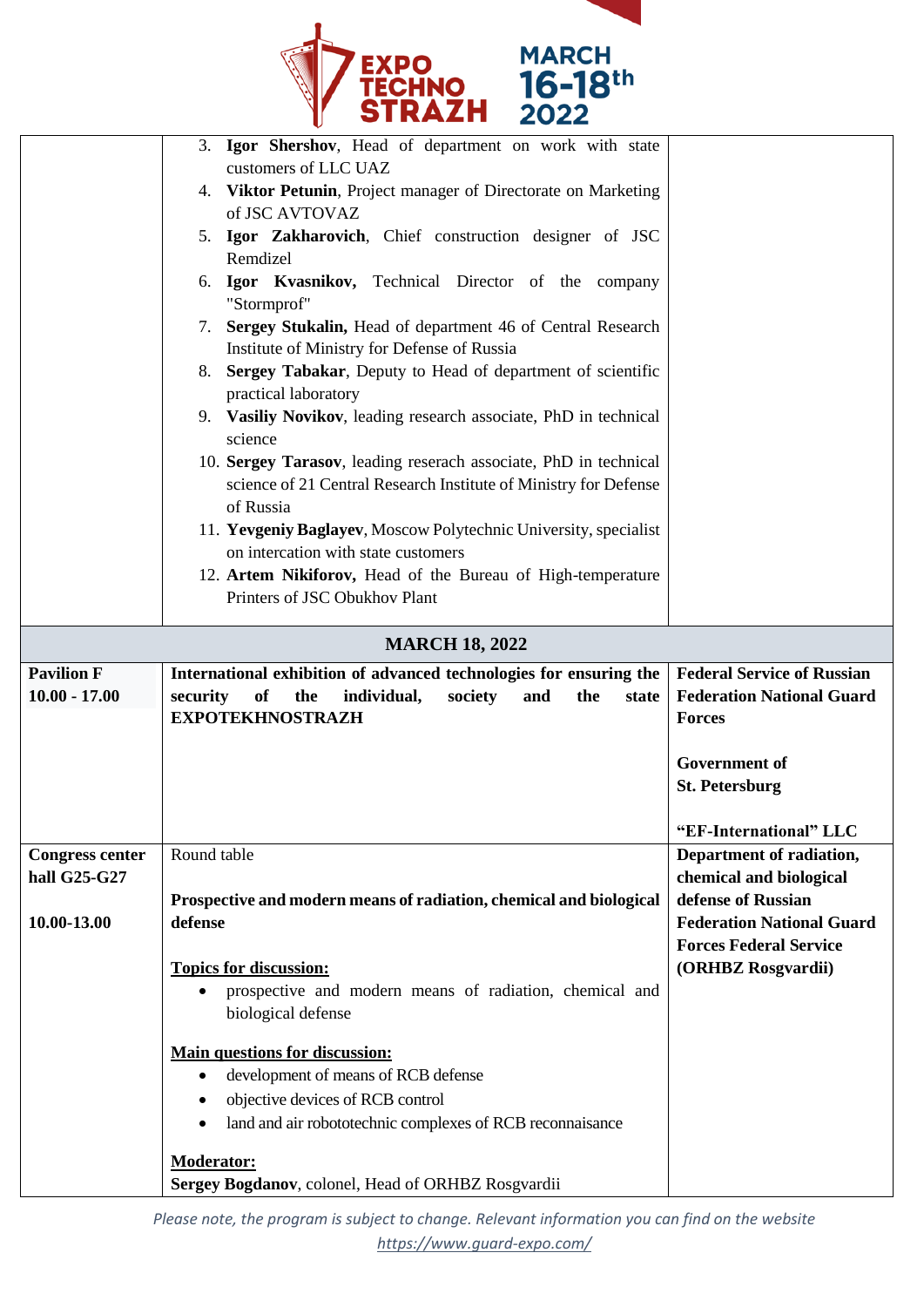

|                        | . <i>.</i>                                                                                                   |                                                        |
|------------------------|--------------------------------------------------------------------------------------------------------------|--------------------------------------------------------|
|                        | 3. Igor Shershov, Head of department on work with state<br>customers of LLC UAZ                              |                                                        |
|                        | 4. Viktor Petunin, Project manager of Directorate on Marketing                                               |                                                        |
|                        | of JSC AVTOVAZ                                                                                               |                                                        |
|                        | 5. Igor Zakharovich, Chief construction designer of JSC<br>Remdizel                                          |                                                        |
|                        | Igor Kvasnikov, Technical Director of the company<br>6.                                                      |                                                        |
|                        | "Stormprof"                                                                                                  |                                                        |
|                        | 7. Sergey Stukalin, Head of department 46 of Central Research<br>Institute of Ministry for Defense of Russia |                                                        |
|                        | Sergey Tabakar, Deputy to Head of department of scientific<br>8.                                             |                                                        |
|                        | practical laboratory                                                                                         |                                                        |
|                        | 9. Vasiliy Novikov, leading research associate, PhD in technical<br>science                                  |                                                        |
|                        | 10. Sergey Tarasov, leading reserach associate, PhD in technical                                             |                                                        |
|                        | science of 21 Central Research Institute of Ministry for Defense<br>of Russia                                |                                                        |
|                        | 11. Yevgeniy Baglayev, Moscow Polytechnic University, specialist                                             |                                                        |
|                        | on intercation with state customers                                                                          |                                                        |
|                        | 12. Artem Nikiforov, Head of the Bureau of High-temperature<br>Printers of JSC Obukhov Plant                 |                                                        |
|                        |                                                                                                              |                                                        |
|                        | <b>MARCH 18, 2022</b>                                                                                        |                                                        |
|                        |                                                                                                              |                                                        |
| <b>Pavilion F</b>      | International exhibition of advanced technologies for ensuring the                                           | <b>Federal Service of Russian</b>                      |
| $10.00 - 17.00$        | of<br>the<br>individual,<br>security<br>society<br>and<br>the<br>state                                       | <b>Federation National Guard</b>                       |
|                        | <b>EXPOTEKHNOSTRAZH</b>                                                                                      | <b>Forces</b>                                          |
|                        |                                                                                                              | <b>Government of</b>                                   |
|                        |                                                                                                              | <b>St. Petersburg</b>                                  |
|                        |                                                                                                              | "EF-International" LLC                                 |
| <b>Congress center</b> | Round table                                                                                                  | Department of radiation,                               |
| hall G25-G27           |                                                                                                              | chemical and biological                                |
| 10.00-13.00            | Prospective and modern means of radiation, chemical and biological<br>defense                                | defense of Russian<br><b>Federation National Guard</b> |
|                        |                                                                                                              | <b>Forces Federal Service</b>                          |
|                        | <b>Topics for discussion:</b>                                                                                | (ORHBZ Rosgvardii)                                     |
|                        | prospective and modern means of radiation, chemical and<br>$\bullet$<br>biological defense                   |                                                        |
|                        | <b>Main questions for discussion:</b>                                                                        |                                                        |
|                        | development of means of RCB defense<br>$\bullet$                                                             |                                                        |
|                        | objective devices of RCB control<br>$\bullet$                                                                |                                                        |
|                        | land and air robototechnic complexes of RCB reconnaisance<br>$\bullet$                                       |                                                        |
|                        | <b>Moderator:</b><br>Sergey Bogdanov, colonel, Head of ORHBZ Rosgvardii                                      |                                                        |

*Please note, the program is subject to change. Relevant information you can find on the website <https://www.guard-expo.com/>*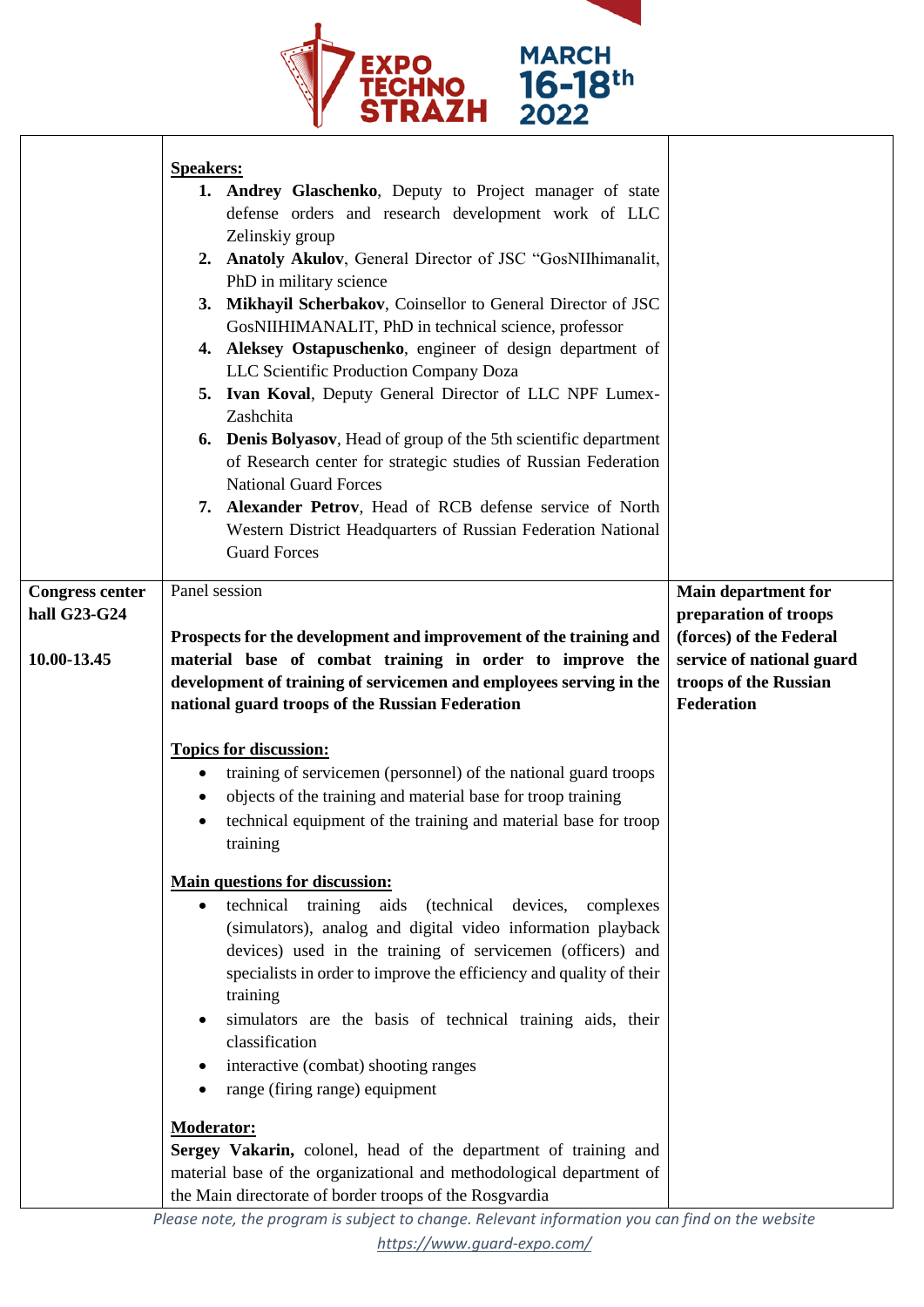

|                                                       | <b>Speakers:</b><br>1. Andrey Glaschenko, Deputy to Project manager of state<br>defense orders and research development work of LLC<br>Zelinskiy group<br>2. Anatoly Akulov, General Director of JSC "GosNIIhimanalit,<br>PhD in military science<br>3. Mikhayil Scherbakov, Coinsellor to General Director of JSC<br>GosNIIHIMANALIT, PhD in technical science, professor<br>4. Aleksey Ostapuschenko, engineer of design department of<br>LLC Scientific Production Company Doza<br>5. Ivan Koval, Deputy General Director of LLC NPF Lumex-<br>Zashchita<br><b>Denis Bolyasov</b> , Head of group of the 5th scientific department<br>6.<br>of Research center for strategic studies of Russian Federation<br><b>National Guard Forces</b><br>7. Alexander Petrov, Head of RCB defense service of North<br>Western District Headquarters of Russian Federation National<br><b>Guard Forces</b>                     |                                                                                                                                                    |
|-------------------------------------------------------|-----------------------------------------------------------------------------------------------------------------------------------------------------------------------------------------------------------------------------------------------------------------------------------------------------------------------------------------------------------------------------------------------------------------------------------------------------------------------------------------------------------------------------------------------------------------------------------------------------------------------------------------------------------------------------------------------------------------------------------------------------------------------------------------------------------------------------------------------------------------------------------------------------------------------|----------------------------------------------------------------------------------------------------------------------------------------------------|
| <b>Congress center</b><br>hall G23-G24<br>10.00-13.45 | Panel session<br>Prospects for the development and improvement of the training and<br>material base of combat training in order to improve the<br>development of training of servicemen and employees serving in the<br>national guard troops of the Russian Federation                                                                                                                                                                                                                                                                                                                                                                                                                                                                                                                                                                                                                                               | <b>Main department for</b><br>preparation of troops<br>(forces) of the Federal<br>service of national guard<br>troops of the Russian<br>Federation |
|                                                       | <b>Topics for discussion:</b><br>training of servicemen (personnel) of the national guard troops<br>$\bullet$<br>objects of the training and material base for troop training<br>technical equipment of the training and material base for troop<br>training<br><b>Main questions for discussion:</b><br>technical<br>training aids<br>(technical)<br>devices,<br>complexes<br>(simulators), analog and digital video information playback<br>devices) used in the training of servicemen (officers) and<br>specialists in order to improve the efficiency and quality of their<br>training<br>simulators are the basis of technical training aids, their<br>classification<br>interactive (combat) shooting ranges<br>range (firing range) equipment<br><b>Moderator:</b><br>Sergey Vakarin, colonel, head of the department of training and<br>material base of the organizational and methodological department of |                                                                                                                                                    |
|                                                       | the Main directorate of border troops of the Rosgvardia                                                                                                                                                                                                                                                                                                                                                                                                                                                                                                                                                                                                                                                                                                                                                                                                                                                               |                                                                                                                                                    |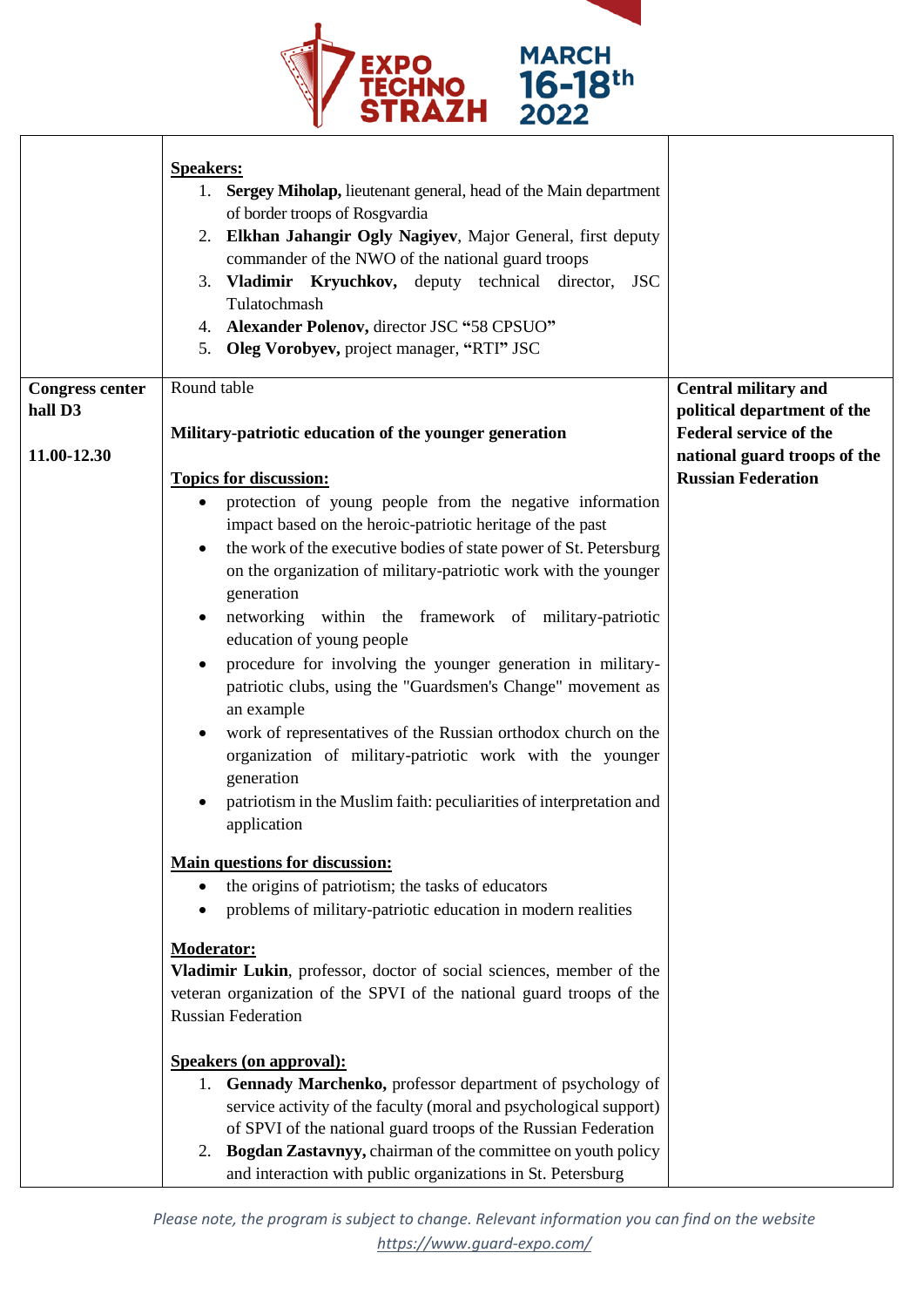

|                        | <b>Speakers:</b><br>1. Sergey Miholap, lieutenant general, head of the Main department<br>of border troops of Rosgvardia<br>2. Elkhan Jahangir Ogly Nagiyev, Major General, first deputy<br>commander of the NWO of the national guard troops<br>3. Vladimir Kryuchkov, deputy technical director,<br><b>JSC</b><br>Tulatochmash<br>4. Alexander Polenov, director JSC "58 CPSUO"<br>5. Oleg Vorobyev, project manager, "RTI" JSC |                                                           |
|------------------------|-----------------------------------------------------------------------------------------------------------------------------------------------------------------------------------------------------------------------------------------------------------------------------------------------------------------------------------------------------------------------------------------------------------------------------------|-----------------------------------------------------------|
| <b>Congress center</b> | Round table                                                                                                                                                                                                                                                                                                                                                                                                                       | <b>Central military and</b>                               |
| hall D3                |                                                                                                                                                                                                                                                                                                                                                                                                                                   | political department of the                               |
|                        | Military-patriotic education of the younger generation                                                                                                                                                                                                                                                                                                                                                                            | <b>Federal service of the</b>                             |
| 11.00-12.30            | <b>Topics for discussion:</b>                                                                                                                                                                                                                                                                                                                                                                                                     | national guard troops of the<br><b>Russian Federation</b> |
|                        | protection of young people from the negative information<br>$\bullet$                                                                                                                                                                                                                                                                                                                                                             |                                                           |
|                        | impact based on the heroic-patriotic heritage of the past                                                                                                                                                                                                                                                                                                                                                                         |                                                           |
|                        | the work of the executive bodies of state power of St. Petersburg                                                                                                                                                                                                                                                                                                                                                                 |                                                           |
|                        | on the organization of military-patriotic work with the younger                                                                                                                                                                                                                                                                                                                                                                   |                                                           |
|                        | generation                                                                                                                                                                                                                                                                                                                                                                                                                        |                                                           |
|                        | networking within the framework of military-patriotic<br>٠                                                                                                                                                                                                                                                                                                                                                                        |                                                           |
|                        | education of young people                                                                                                                                                                                                                                                                                                                                                                                                         |                                                           |
|                        | procedure for involving the younger generation in military-<br>$\bullet$                                                                                                                                                                                                                                                                                                                                                          |                                                           |
|                        | patriotic clubs, using the "Guardsmen's Change" movement as                                                                                                                                                                                                                                                                                                                                                                       |                                                           |
|                        | an example                                                                                                                                                                                                                                                                                                                                                                                                                        |                                                           |
|                        | work of representatives of the Russian orthodox church on the<br>organization of military-patriotic work with the younger                                                                                                                                                                                                                                                                                                         |                                                           |
|                        | generation                                                                                                                                                                                                                                                                                                                                                                                                                        |                                                           |
|                        | patriotism in the Muslim faith: peculiarities of interpretation and                                                                                                                                                                                                                                                                                                                                                               |                                                           |
|                        | application                                                                                                                                                                                                                                                                                                                                                                                                                       |                                                           |
|                        | <b>Main questions for discussion:</b>                                                                                                                                                                                                                                                                                                                                                                                             |                                                           |
|                        | the origins of patriotism; the tasks of educators<br>$\bullet$                                                                                                                                                                                                                                                                                                                                                                    |                                                           |
|                        | problems of military-patriotic education in modern realities<br>$\bullet$                                                                                                                                                                                                                                                                                                                                                         |                                                           |
|                        | <b>Moderator:</b>                                                                                                                                                                                                                                                                                                                                                                                                                 |                                                           |
|                        | Vladimir Lukin, professor, doctor of social sciences, member of the                                                                                                                                                                                                                                                                                                                                                               |                                                           |
|                        | veteran organization of the SPVI of the national guard troops of the                                                                                                                                                                                                                                                                                                                                                              |                                                           |
|                        | <b>Russian Federation</b>                                                                                                                                                                                                                                                                                                                                                                                                         |                                                           |
|                        | <b>Speakers (on approval):</b>                                                                                                                                                                                                                                                                                                                                                                                                    |                                                           |
|                        | 1. Gennady Marchenko, professor department of psychology of                                                                                                                                                                                                                                                                                                                                                                       |                                                           |
|                        | service activity of the faculty (moral and psychological support)                                                                                                                                                                                                                                                                                                                                                                 |                                                           |
|                        | of SPVI of the national guard troops of the Russian Federation                                                                                                                                                                                                                                                                                                                                                                    |                                                           |
|                        | 2. Bogdan Zastavnyy, chairman of the committee on youth policy                                                                                                                                                                                                                                                                                                                                                                    |                                                           |
|                        | and interaction with public organizations in St. Petersburg                                                                                                                                                                                                                                                                                                                                                                       |                                                           |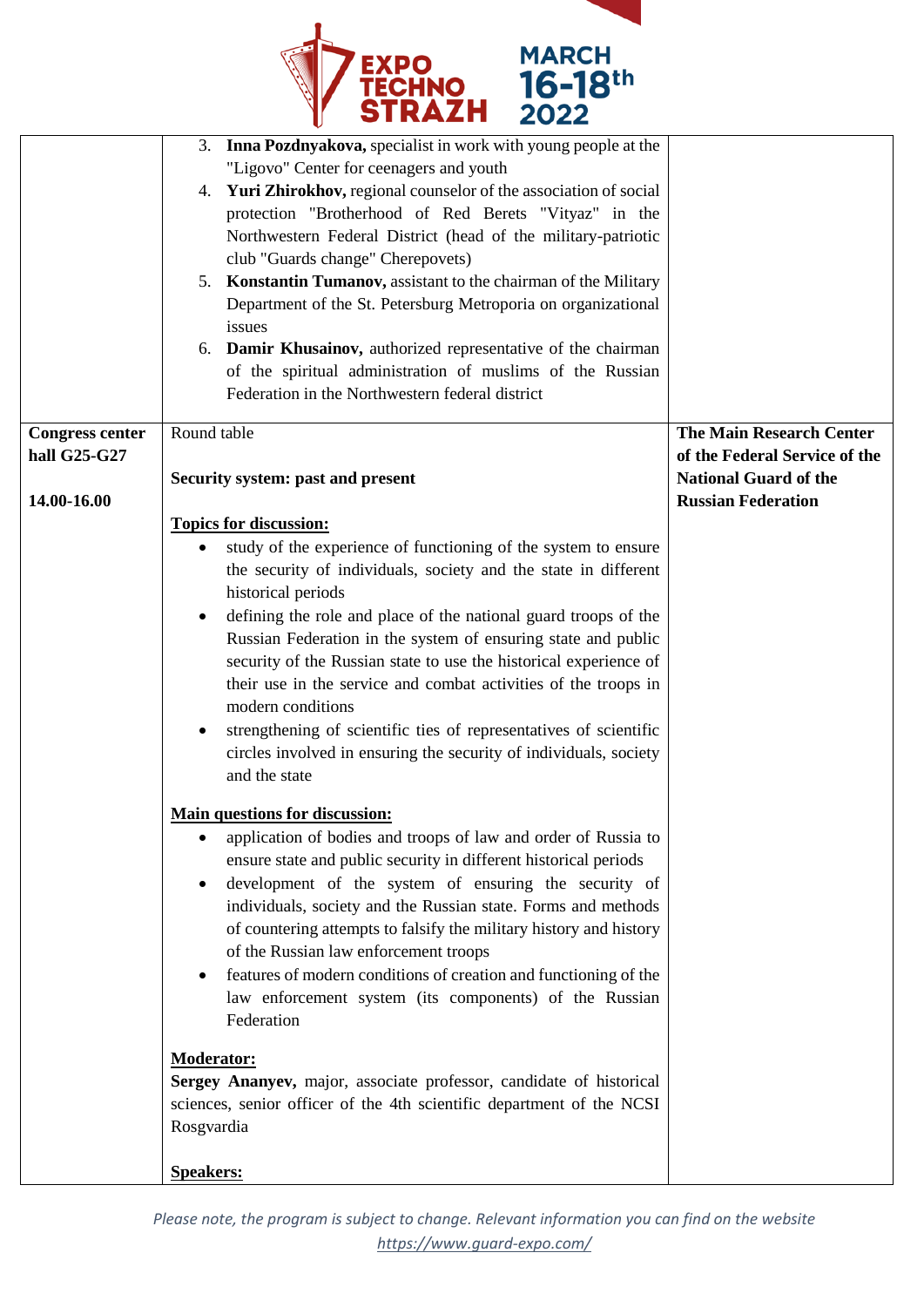

|                        | 3. Inna Pozdnyakova, specialist in work with young people at the<br>"Ligovo" Center for ceenagers and youth<br>4. Yuri Zhirokhov, regional counselor of the association of social<br>protection "Brotherhood of Red Berets "Vityaz" in the<br>Northwestern Federal District (head of the military-patriotic<br>club "Guards change" Cherepovets)<br>5. Konstantin Tumanov, assistant to the chairman of the Military<br>Department of the St. Petersburg Metroporia on organizational<br>issues<br>6. Damir Khusainov, authorized representative of the chairman<br>of the spiritual administration of muslims of the Russian<br>Federation in the Northwestern federal district |                                 |
|------------------------|----------------------------------------------------------------------------------------------------------------------------------------------------------------------------------------------------------------------------------------------------------------------------------------------------------------------------------------------------------------------------------------------------------------------------------------------------------------------------------------------------------------------------------------------------------------------------------------------------------------------------------------------------------------------------------|---------------------------------|
| <b>Congress center</b> | Round table                                                                                                                                                                                                                                                                                                                                                                                                                                                                                                                                                                                                                                                                      | <b>The Main Research Center</b> |
| hall G25-G27           |                                                                                                                                                                                                                                                                                                                                                                                                                                                                                                                                                                                                                                                                                  | of the Federal Service of the   |
|                        |                                                                                                                                                                                                                                                                                                                                                                                                                                                                                                                                                                                                                                                                                  | <b>National Guard of the</b>    |
|                        | Security system: past and present                                                                                                                                                                                                                                                                                                                                                                                                                                                                                                                                                                                                                                                |                                 |
| 14.00-16.00            |                                                                                                                                                                                                                                                                                                                                                                                                                                                                                                                                                                                                                                                                                  | <b>Russian Federation</b>       |
|                        | <b>Topics for discussion:</b>                                                                                                                                                                                                                                                                                                                                                                                                                                                                                                                                                                                                                                                    |                                 |
|                        | study of the experience of functioning of the system to ensure<br>$\bullet$                                                                                                                                                                                                                                                                                                                                                                                                                                                                                                                                                                                                      |                                 |
|                        | the security of individuals, society and the state in different                                                                                                                                                                                                                                                                                                                                                                                                                                                                                                                                                                                                                  |                                 |
|                        | historical periods                                                                                                                                                                                                                                                                                                                                                                                                                                                                                                                                                                                                                                                               |                                 |
|                        | defining the role and place of the national guard troops of the<br>٠                                                                                                                                                                                                                                                                                                                                                                                                                                                                                                                                                                                                             |                                 |
|                        | Russian Federation in the system of ensuring state and public                                                                                                                                                                                                                                                                                                                                                                                                                                                                                                                                                                                                                    |                                 |
|                        | security of the Russian state to use the historical experience of                                                                                                                                                                                                                                                                                                                                                                                                                                                                                                                                                                                                                |                                 |
|                        |                                                                                                                                                                                                                                                                                                                                                                                                                                                                                                                                                                                                                                                                                  |                                 |
|                        | their use in the service and combat activities of the troops in                                                                                                                                                                                                                                                                                                                                                                                                                                                                                                                                                                                                                  |                                 |
|                        | modern conditions                                                                                                                                                                                                                                                                                                                                                                                                                                                                                                                                                                                                                                                                |                                 |
|                        | strengthening of scientific ties of representatives of scientific<br>$\bullet$                                                                                                                                                                                                                                                                                                                                                                                                                                                                                                                                                                                                   |                                 |
|                        | circles involved in ensuring the security of individuals, society                                                                                                                                                                                                                                                                                                                                                                                                                                                                                                                                                                                                                |                                 |
|                        | and the state                                                                                                                                                                                                                                                                                                                                                                                                                                                                                                                                                                                                                                                                    |                                 |
|                        |                                                                                                                                                                                                                                                                                                                                                                                                                                                                                                                                                                                                                                                                                  |                                 |
|                        | <b>Main questions for discussion:</b>                                                                                                                                                                                                                                                                                                                                                                                                                                                                                                                                                                                                                                            |                                 |
|                        | application of bodies and troops of law and order of Russia to<br>٠                                                                                                                                                                                                                                                                                                                                                                                                                                                                                                                                                                                                              |                                 |
|                        | ensure state and public security in different historical periods                                                                                                                                                                                                                                                                                                                                                                                                                                                                                                                                                                                                                 |                                 |
|                        | development of the system of ensuring the security of<br>٠                                                                                                                                                                                                                                                                                                                                                                                                                                                                                                                                                                                                                       |                                 |
|                        | individuals, society and the Russian state. Forms and methods                                                                                                                                                                                                                                                                                                                                                                                                                                                                                                                                                                                                                    |                                 |
|                        | of countering attempts to falsify the military history and history                                                                                                                                                                                                                                                                                                                                                                                                                                                                                                                                                                                                               |                                 |
|                        | of the Russian law enforcement troops                                                                                                                                                                                                                                                                                                                                                                                                                                                                                                                                                                                                                                            |                                 |
|                        | features of modern conditions of creation and functioning of the<br>٠                                                                                                                                                                                                                                                                                                                                                                                                                                                                                                                                                                                                            |                                 |
|                        | law enforcement system (its components) of the Russian                                                                                                                                                                                                                                                                                                                                                                                                                                                                                                                                                                                                                           |                                 |
|                        |                                                                                                                                                                                                                                                                                                                                                                                                                                                                                                                                                                                                                                                                                  |                                 |
|                        | Federation                                                                                                                                                                                                                                                                                                                                                                                                                                                                                                                                                                                                                                                                       |                                 |
|                        | <b>Moderator:</b>                                                                                                                                                                                                                                                                                                                                                                                                                                                                                                                                                                                                                                                                |                                 |
|                        | Sergey Ananyev, major, associate professor, candidate of historical                                                                                                                                                                                                                                                                                                                                                                                                                                                                                                                                                                                                              |                                 |
|                        | sciences, senior officer of the 4th scientific department of the NCSI                                                                                                                                                                                                                                                                                                                                                                                                                                                                                                                                                                                                            |                                 |
|                        | Rosgvardia                                                                                                                                                                                                                                                                                                                                                                                                                                                                                                                                                                                                                                                                       |                                 |
|                        |                                                                                                                                                                                                                                                                                                                                                                                                                                                                                                                                                                                                                                                                                  |                                 |
|                        | <b>Speakers:</b>                                                                                                                                                                                                                                                                                                                                                                                                                                                                                                                                                                                                                                                                 |                                 |
|                        |                                                                                                                                                                                                                                                                                                                                                                                                                                                                                                                                                                                                                                                                                  |                                 |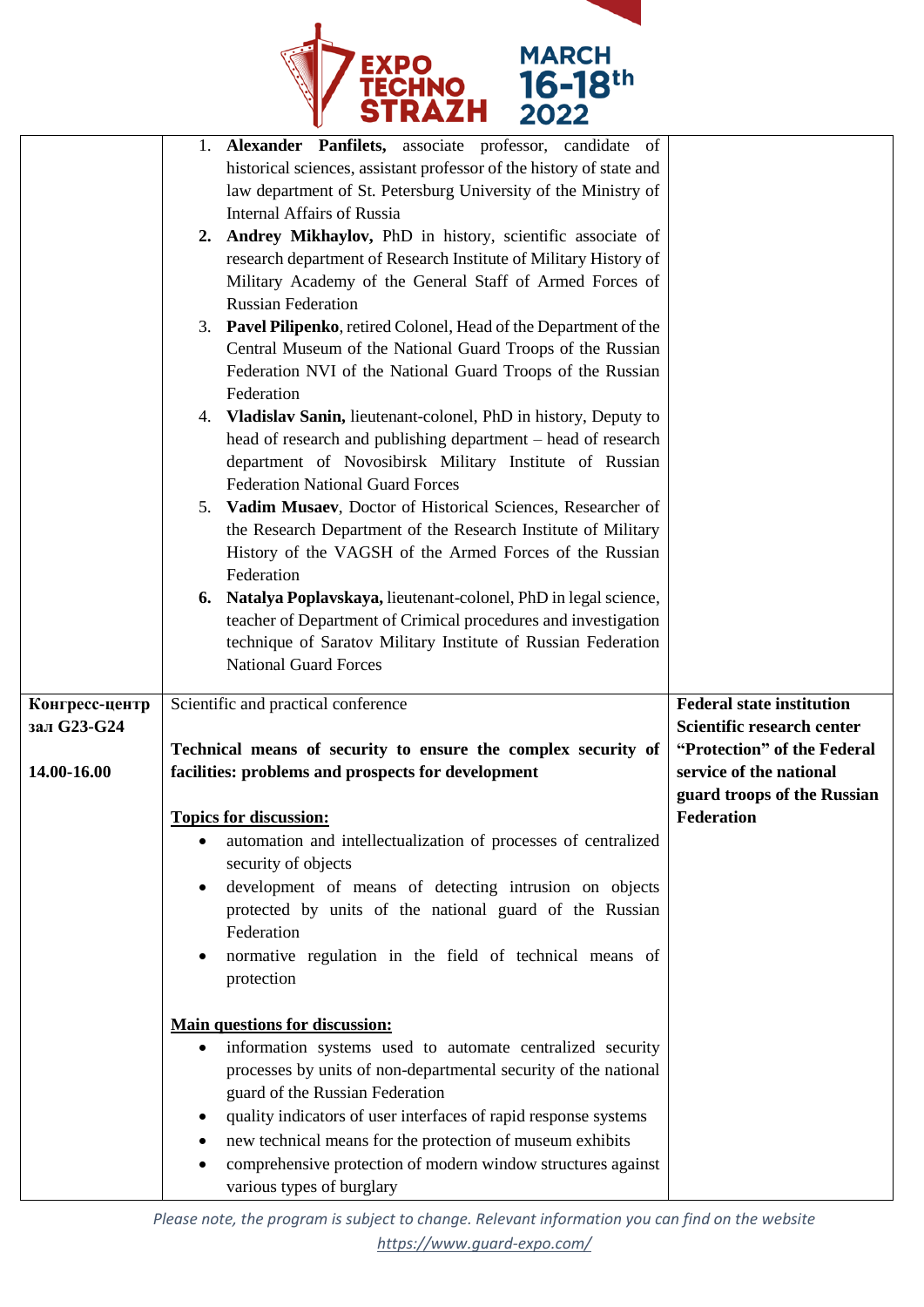

|                            | 1. Alexander Panfilets, associate professor, candidate of<br>historical sciences, assistant professor of the history of state and<br>law department of St. Petersburg University of the Ministry of<br><b>Internal Affairs of Russia</b><br>2. Andrey Mikhaylov, PhD in history, scientific associate of<br>research department of Research Institute of Military History of<br>Military Academy of the General Staff of Armed Forces of<br><b>Russian Federation</b><br>3. Pavel Pilipenko, retired Colonel, Head of the Department of the<br>Central Museum of the National Guard Troops of the Russian<br>Federation NVI of the National Guard Troops of the Russian<br>Federation<br>4. Vladislav Sanin, lieutenant-colonel, PhD in history, Deputy to<br>head of research and publishing department – head of research<br>department of Novosibirsk Military Institute of Russian<br><b>Federation National Guard Forces</b><br>5. Vadim Musaev, Doctor of Historical Sciences, Researcher of<br>the Research Department of the Research Institute of Military<br>History of the VAGSH of the Armed Forces of the Russian<br>Federation<br>6. Natalya Poplavskaya, lieutenant-colonel, PhD in legal science,<br>teacher of Department of Crimical procedures and investigation<br>technique of Saratov Military Institute of Russian Federation<br><b>National Guard Forces</b> |                                                                                                                                          |
|----------------------------|--------------------------------------------------------------------------------------------------------------------------------------------------------------------------------------------------------------------------------------------------------------------------------------------------------------------------------------------------------------------------------------------------------------------------------------------------------------------------------------------------------------------------------------------------------------------------------------------------------------------------------------------------------------------------------------------------------------------------------------------------------------------------------------------------------------------------------------------------------------------------------------------------------------------------------------------------------------------------------------------------------------------------------------------------------------------------------------------------------------------------------------------------------------------------------------------------------------------------------------------------------------------------------------------------------------------------------------------------------------------------------------|------------------------------------------------------------------------------------------------------------------------------------------|
| Конгресс-центр             | Scientific and practical conference                                                                                                                                                                                                                                                                                                                                                                                                                                                                                                                                                                                                                                                                                                                                                                                                                                                                                                                                                                                                                                                                                                                                                                                                                                                                                                                                                  | <b>Federal state institution</b>                                                                                                         |
| зал G23-G24<br>14.00-16.00 | Technical means of security to ensure the complex security of<br>facilities: problems and prospects for development<br><b>Topics for discussion:</b>                                                                                                                                                                                                                                                                                                                                                                                                                                                                                                                                                                                                                                                                                                                                                                                                                                                                                                                                                                                                                                                                                                                                                                                                                                 | Scientific research center<br>"Protection" of the Federal<br>service of the national<br>guard troops of the Russian<br><b>Federation</b> |
|                            | automation and intellectualization of processes of centralized                                                                                                                                                                                                                                                                                                                                                                                                                                                                                                                                                                                                                                                                                                                                                                                                                                                                                                                                                                                                                                                                                                                                                                                                                                                                                                                       |                                                                                                                                          |
|                            | security of objects                                                                                                                                                                                                                                                                                                                                                                                                                                                                                                                                                                                                                                                                                                                                                                                                                                                                                                                                                                                                                                                                                                                                                                                                                                                                                                                                                                  |                                                                                                                                          |
|                            | development of means of detecting intrusion on objects<br>protected by units of the national guard of the Russian<br>Federation<br>normative regulation in the field of technical means of<br>protection                                                                                                                                                                                                                                                                                                                                                                                                                                                                                                                                                                                                                                                                                                                                                                                                                                                                                                                                                                                                                                                                                                                                                                             |                                                                                                                                          |
|                            | <b>Main questions for discussion:</b><br>information systems used to automate centralized security<br>٠<br>processes by units of non-departmental security of the national<br>guard of the Russian Federation<br>quality indicators of user interfaces of rapid response systems<br>٠<br>new technical means for the protection of museum exhibits<br>comprehensive protection of modern window structures against                                                                                                                                                                                                                                                                                                                                                                                                                                                                                                                                                                                                                                                                                                                                                                                                                                                                                                                                                                   |                                                                                                                                          |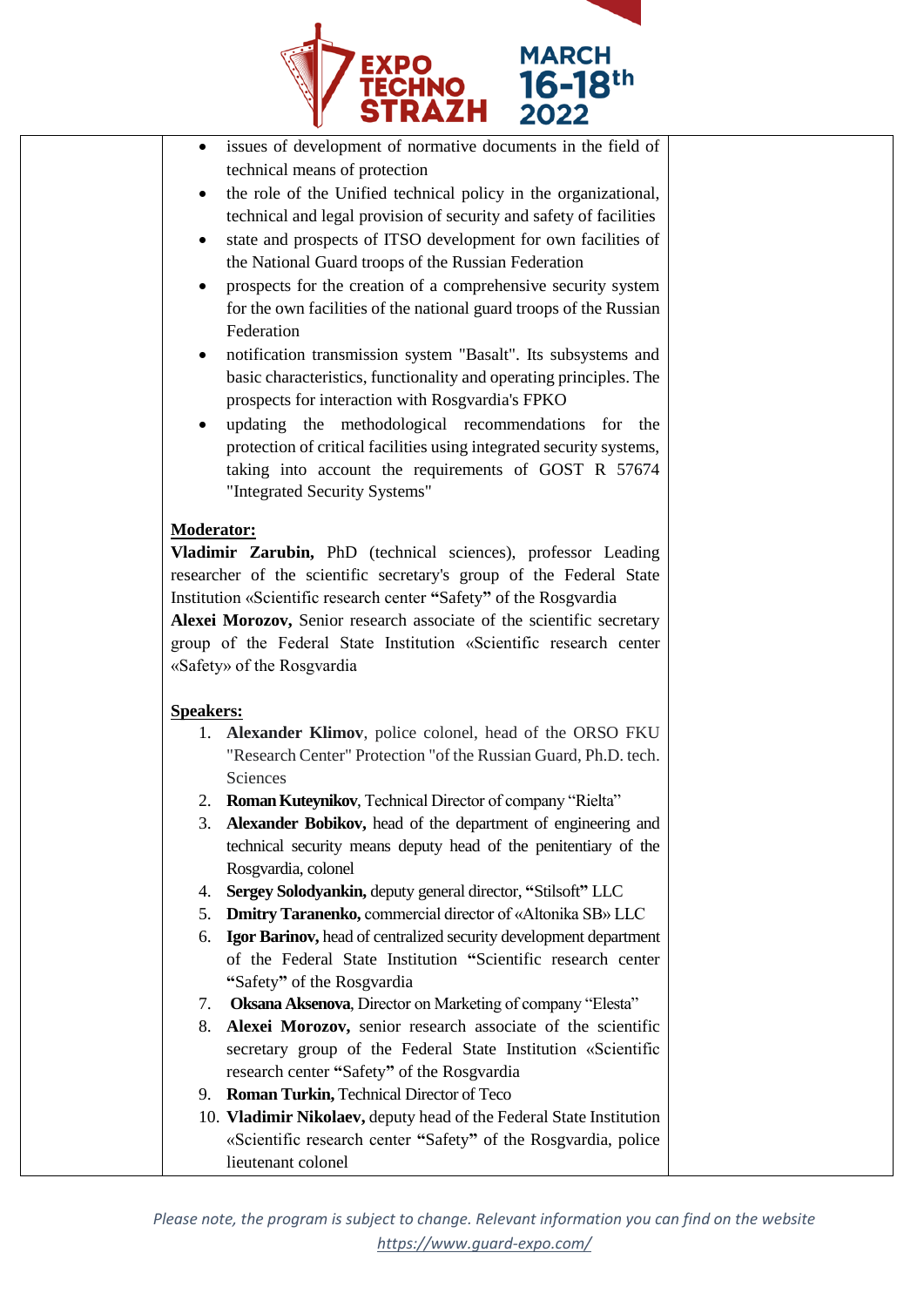

- issues of development of normative documents in the field of technical means of protection
- the role of the Unified technical policy in the organizational, technical and legal provision of security and safety of facilities
- state and prospects of ITSO development for own facilities of the National Guard troops of the Russian Federation
- prospects for the creation of a comprehensive security system for the own facilities of the national guard troops of the Russian Federation
- notification transmission system "Basalt". Its subsystems and basic characteristics, functionality and operating principles. The prospects for interaction with Rosgvardia's FPKO
- updating the methodological recommendations for the protection of critical facilities using integrated security systems, taking into account the requirements of GOST R 57674 "Integrated Security Systems"

## **Moderator:**

**Vladimir Zarubin,** PhD (technical sciences), professor Leading researcher of the scientific secretary's group of the Federal State Institution «Scientific research center **"**Safety**"** of the Rosgvardia

**Alexei Morozov,** Senior research associate of the scientific secretary group of the Federal State Institution «Scientific research center «Safety» of the Rosgvardia

# **Speakers:**

- 1. **Alexander Klimov**, police colonel, head of the ORSO FKU "Research Center" Protection "of the Russian Guard, Ph.D. tech. **Sciences**
- 2. **Roman Kuteynikov**, Technical Director of company "Rielta"
- 3. **Alexander Bobikov,** head of the department of engineering and technical security means deputy head of the penitentiary of the Rosgvardia, colonel
- 4. **Sergey Solodyankin,** deputy general director, **"**Stilsoft**"** LLC
- 5. **Dmitry Taranenko,** commercial director of «Altonika SB» LLC
- 6. **Igor Barinov,** head of centralized security development department of the Federal State Institution **"**Scientific research center **"**Safety**"** of the Rosgvardia
- 7. **Oksana Aksenova**, Director on Marketing of company "Elesta"
- 8. **Alexei Morozov,** senior research associate of the scientific secretary group of the Federal State Institution «Scientific research center **"**Safety**"** of the Rosgvardia
- 9. **Roman Turkin,** Technical Director of Teco
- 10. **Vladimir Nikolaev,** deputy head of the Federal State Institution «Scientific research center **"**Safety**"** of the Rosgvardia, police lieutenant colonel